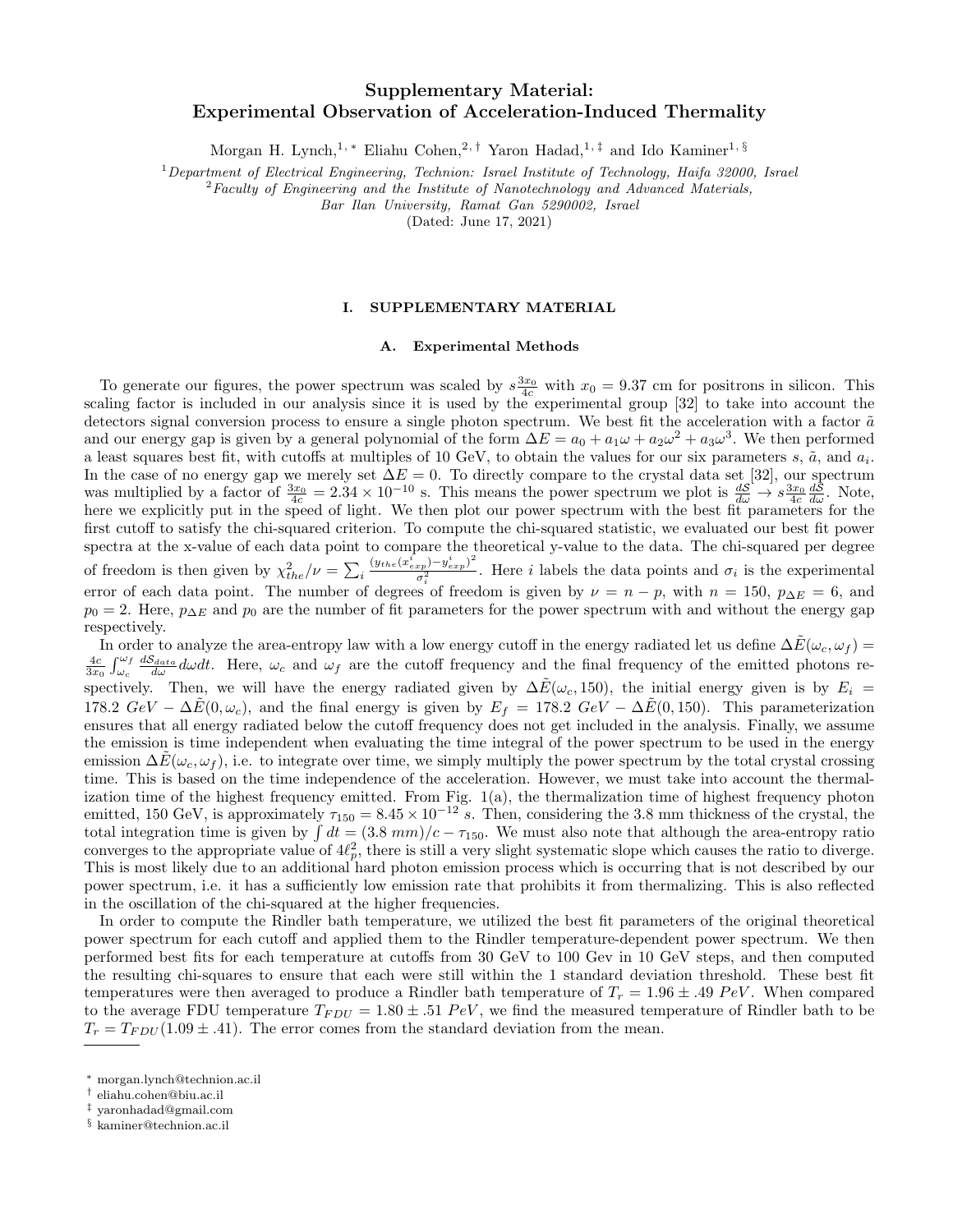# Supplementary Material: Experimental Observation of Acceleration-Induced Thermality

Morgan H. Lynch,<sup>1, ∗</sup> Eliahu Cohen,<sup>2,†</sup> Yaron Hadad,<sup>1,‡</sup> and Ido Kaminer<sup>1, §</sup>

 $1$ Department of Electrical Engineering, Technion: Israel Institute of Technology, Haifa 32000, Israel

 ${}^{2}$ Faculty of Engineering and the Institute of Nanotechnology and Advanced Materials,

Bar Ilan University, Ramat Gan 5290002, Israel

(Dated: June 17, 2021)

## I. SUPPLEMENTARY MATERIAL

#### A. Experimental Methods

To generate our figures, the power spectrum was scaled by  $s \frac{3x_0}{4c}$  with  $x_0 = 9.37$  cm for positrons in silicon. This scaling factor is included in our analysis since it is used by the experimental group [32] to take into account the detectors signal conversion process to ensure a single photon spectrum. We best fit the acceleration with a factor  $\tilde{a}$ and our energy gap is given by a general polynomial of the form  $\Delta E = a_0 + a_1 \omega + a_2 \omega^2 + a_3 \omega^3$ . We then performed a least squares best fit, with cutoffs at multiples of 10 GeV, to obtain the values for our six parameters s,  $\tilde{a}$ , and  $a_i$ . In the case of no energy gap we merely set  $\Delta E = 0$ . To directly compare to the crystal data set [32], our spectrum was multiplied by a factor of  $\frac{3x_0}{4c} = 2.34 \times 10^{-10}$  s. This means the power spectrum we plot is  $\frac{dS}{d\omega} \to s \frac{3x_0}{4c} \frac{dS}{d\omega}$ . Note, here we explicitly put in the speed of light. We then plot our power spectrum with the best fit parameters for the first cutoff to satisfy the chi-squared criterion. To compute the chi-squared statistic, we evaluated our best fit power spectra at the x-value of each data point to compare the theoretical y-value to the data. The chi-squared per degree of freedom is then given by  $\chi^2_{the}/\nu = \sum_i$  $(y_{the}(x_{exp}^i)-y_{exp}^i)^2$  $\frac{\sigma_p^{(p)} - g_{exp}(r)}{\sigma_i^2}$ . Here *i* labels the data points and  $\sigma_i$  is the experimental error of each data point. The number of degrees of freedom is given by  $\nu = n - p$ , with  $n = 150$ ,  $p_{\Delta E} = 6$ , and  $p_0 = 2$ . Here,  $p_{\Delta E}$  and  $p_0$  are the number of fit parameters for the power spectrum with and without the energy gap respectively.

In order to analyze the area-entropy law with a low energy cutoff in the energy radiated let us define  $\Delta \tilde{E}(\omega_c, \omega_f)$  =  $\frac{4c}{3x_0}\int_{\omega_c}^{\omega_f} \frac{dS_{data}}{d\omega}d\omega dt$ . Here,  $\omega_c$  and  $\omega_f$  are the cutoff frequency and the final frequency of the emitted photons respectively. Then, we will have the energy radiated given by  $\Delta \tilde{E}(\omega_c, 150)$ , the initial energy given is by  $E_i =$ 178.2  $GeV - \Delta \tilde{E}(0, \omega_c)$ , and the final energy is given by  $E_f = 178.2 \; GeV - \Delta \tilde{E}(0, 150)$ . This parameterization ensures that all energy radiated below the cutoff frequency does not get included in the analysis. Finally, we assume the emission is time independent when evaluating the time integral of the power spectrum to be used in the energy emission  $\Delta E(\omega_c, \omega_f)$ , i.e. to integrate over time, we simply multiply the power spectrum by the total crystal crossing time. This is based on the time independence of the acceleration. However, we must take into account the thermalization time of the highest frequency emitted. From Fig.  $1(a)$ , the thermalization time of highest frequency photon emitted, 150 GeV, is approximately  $\tau_{150} = 8.45 \times 10^{-12}$  s. Then, considering the 3.8 mm thickness of the crystal, the total integration time is given by  $\int dt = (3.8 \text{ mm})/c - \tau_{150}$ . We must also note that although the area-entropy ratio converges to the appropriate value of  $4\ell_p^2$ , there is still a very slight systematic slope which causes the ratio to diverge. This is most likely due to an additional hard photon emission process which is occurring that is not described by our power spectrum, i.e. it has a sufficiently low emission rate that prohibits it from thermalizing. This is also reflected in the oscillation of the chi-squared at the higher frequencies.

In order to compute the Rindler bath temperature, we utilized the best fit parameters of the original theoretical power spectrum for each cutoff and applied them to the Rindler temperature-dependent power spectrum. We then performed best fits for each temperature at cutoffs from 30 GeV to 100 Gev in 10 GeV steps, and then computed the resulting chi-squares to ensure that each were still within the 1 standard deviation threshold. These best fit temperatures were then averaged to produce a Rindler bath temperature of  $T_r = 1.96 \pm .49$  PeV. When compared to the average FDU temperature  $T_{FDU} = 1.80 \pm .51$  PeV, we find the measured temperature of Rindler bath to be  $T_r = T_{FDU}(1.09 \pm .41)$ . The error comes from the standard deviation from the mean.

<sup>∗</sup> morgan.lynch@technion.ac.il

<sup>†</sup> eliahu.cohen@biu.ac.il

<sup>‡</sup> yaronhadad@gmail.com

<sup>§</sup> kaminer@technion.ac.il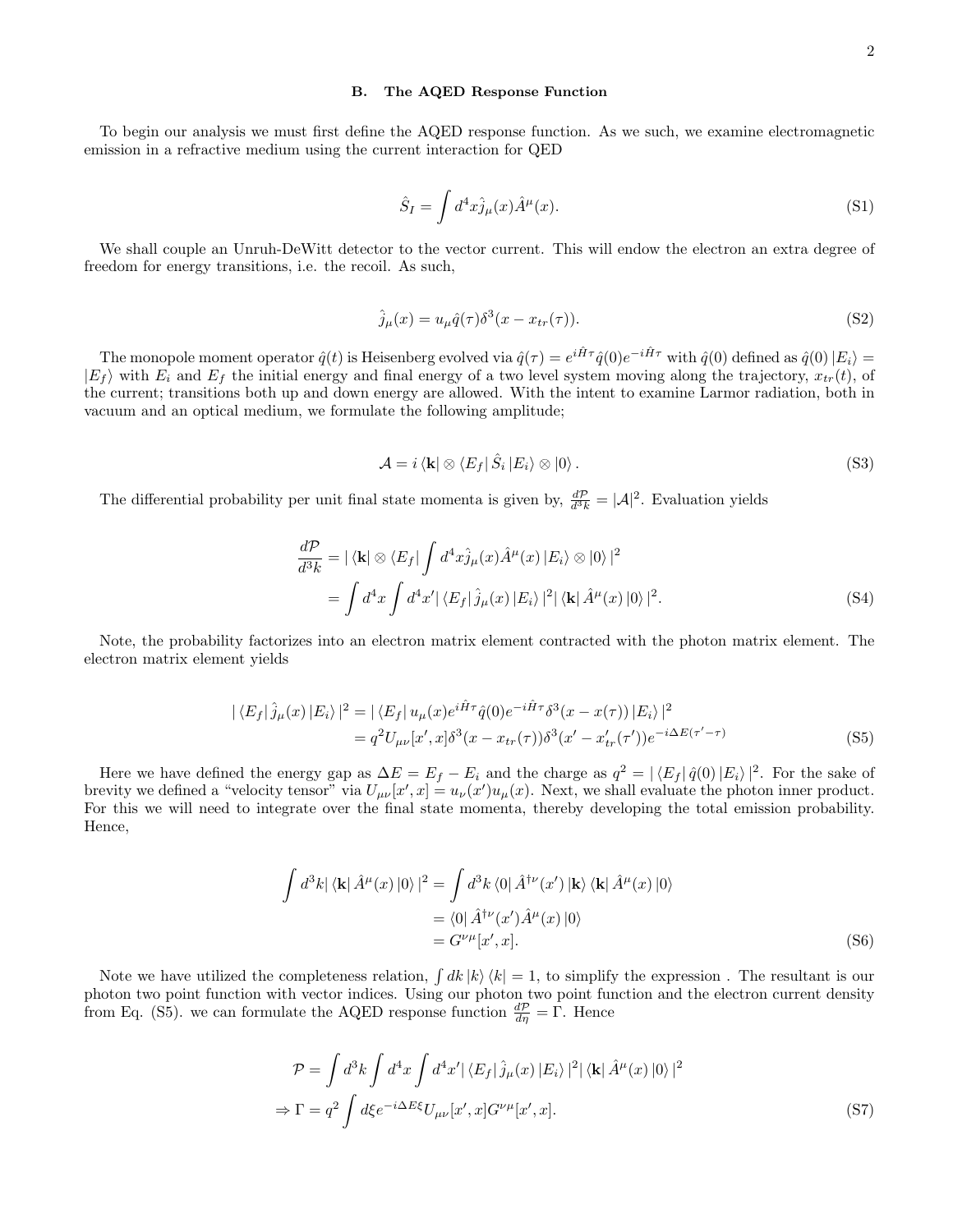#### B. The AQED Response Function

To begin our analysis we must first define the AQED response function. As we such, we examine electromagnetic emission in a refractive medium using the current interaction for QED

$$
\hat{S}_I = \int d^4x \hat{j}_\mu(x) \hat{A}^\mu(x). \tag{S1}
$$

We shall couple an Unruh-DeWitt detector to the vector current. This will endow the electron an extra degree of freedom for energy transitions, i.e. the recoil. As such,

$$
\hat{j}_{\mu}(x) = u_{\mu}\hat{q}(\tau)\delta^3(x - x_{tr}(\tau)).
$$
\n(S2)

The monopole moment operator  $\hat{q}(t)$  is Heisenberg evolved via  $\hat{q}(\tau) = e^{i\hat{H}\tau} \hat{q}(0) e^{-i\hat{H}\tau}$  with  $\hat{q}(0)$  defined as  $\hat{q}(0) |E_i\rangle =$  $|E_f\rangle$  with  $E_i$  and  $E_f$  the initial energy and final energy of a two level system moving along the trajectory,  $x_{tr}(t)$ , of the current; transitions both up and down energy are allowed. With the intent to examine Larmor radiation, both in vacuum and an optical medium, we formulate the following amplitude;

$$
\mathcal{A} = i \langle \mathbf{k} | \otimes \langle E_f | \hat{S}_i | E_i \rangle \otimes | 0 \rangle. \tag{S3}
$$

The differential probability per unit final state momenta is given by,  $\frac{dP}{d^3k} = |\mathcal{A}|^2$ . Evaluation yields

$$
\frac{d\mathcal{P}}{d^3k} = |\langle \mathbf{k} | \otimes \langle E_f | \int d^4x \hat{j}_\mu(x) \hat{A}^\mu(x) | E_i \rangle \otimes |0 \rangle|^2
$$
  
= 
$$
\int d^4x \int d^4x' |\langle E_f | \hat{j}_\mu(x) | E_i \rangle|^2 |\langle \mathbf{k} | \hat{A}^\mu(x) | 0 \rangle|^2.
$$
 (S4)

Note, the probability factorizes into an electron matrix element contracted with the photon matrix element. The electron matrix element yields

$$
|\langle E_f|\hat{j}_{\mu}(x)|E_i\rangle|^2 = |\langle E_f|u_{\mu}(x)e^{i\hat{H}\tau}\hat{q}(0)e^{-i\hat{H}\tau}\delta^3(x-x(\tau))|E_i\rangle|^2
$$
  
=  $q^2U_{\mu\nu}[x',x]\delta^3(x-x_{tr}(\tau))\delta^3(x'-x'_{tr}(\tau'))e^{-i\Delta E(\tau'-\tau)}$  (S5)

Here we have defined the energy gap as  $\Delta E = E_f - E_i$  and the charge as  $q^2 = |\langle E_f | \hat{q}(0) | E_i \rangle|^2$ . For the sake of brevity we defined a "velocity tensor" via  $U_{\mu\nu}[x',x] = u_{\nu}(x')u_{\mu}(x)$ . Next, we shall evaluate the photon inner product. For this we will need to integrate over the final state momenta, thereby developing the total emission probability. Hence,

$$
\int d^3k |\langle \mathbf{k} | \hat{A}^{\mu}(x) | 0 \rangle|^2 = \int d^3k \langle 0 | \hat{A}^{\dagger \nu}(x') | \mathbf{k} \rangle \langle \mathbf{k} | \hat{A}^{\mu}(x) | 0 \rangle
$$
  
=  $\langle 0 | \hat{A}^{\dagger \nu}(x') \hat{A}^{\mu}(x) | 0 \rangle$   
=  $G^{\nu \mu}[x', x].$  (S6)

Note we have utilized the completeness relation,  $\int dk |k\rangle \langle k| = 1$ , to simplify the expression. The resultant is our photon two point function with vector indices. Using our photon two point function and the electron current density from Eq. (S5). we can formulate the AQED response function  $\frac{dP}{d\eta} = \Gamma$ . Hence

$$
\mathcal{P} = \int d^3k \int d^4x \int d^4x' |\langle E_f | \hat{j}_\mu(x) | E_i \rangle|^2 |\langle \mathbf{k} | \hat{A}^\mu(x) | 0 \rangle|^2
$$
  
\n
$$
\Rightarrow \Gamma = q^2 \int d\xi e^{-i\Delta E\xi} U_{\mu\nu}[x', x] G^{\nu\mu}[x', x].
$$
\n(S7)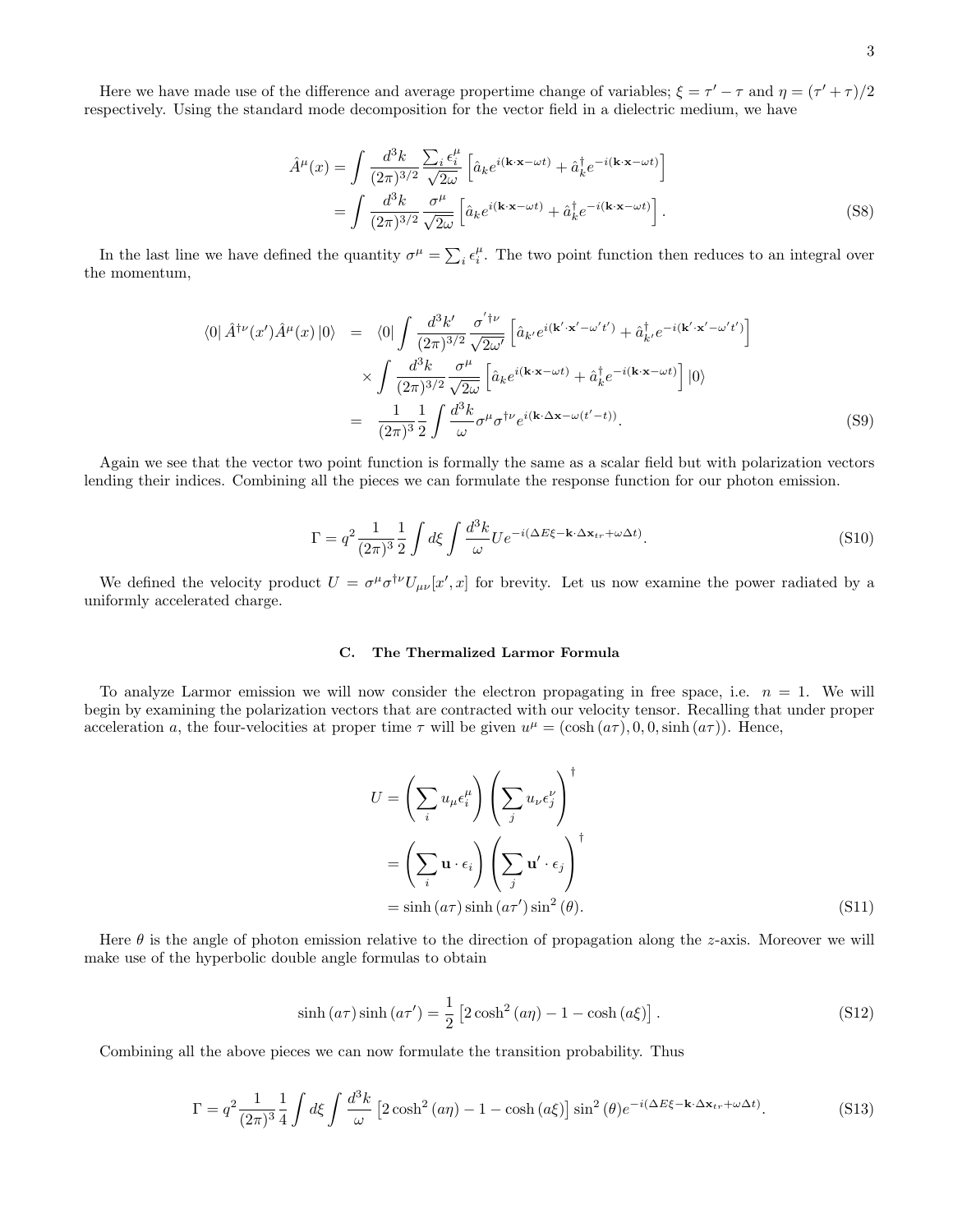Here we have made use of the difference and average propertime change of variables;  $\xi = \tau' - \tau$  and  $\eta = (\tau' + \tau)/2$ respectively. Using the standard mode decomposition for the vector field in a dielectric medium, we have

$$
\hat{A}^{\mu}(x) = \int \frac{d^3k}{(2\pi)^{3/2}} \frac{\sum_i \epsilon_i^{\mu}}{\sqrt{2\omega}} \left[ \hat{a}_k e^{i(\mathbf{k}\cdot\mathbf{x}-\omega t)} + \hat{a}_k^{\dagger} e^{-i(\mathbf{k}\cdot\mathbf{x}-\omega t)} \right]
$$

$$
= \int \frac{d^3k}{(2\pi)^{3/2}} \frac{\sigma^{\mu}}{\sqrt{2\omega}} \left[ \hat{a}_k e^{i(\mathbf{k}\cdot\mathbf{x}-\omega t)} + \hat{a}_k^{\dagger} e^{-i(\mathbf{k}\cdot\mathbf{x}-\omega t)} \right]. \tag{S8}
$$

In the last line we have defined the quantity  $\sigma^{\mu} = \sum_{i} \epsilon_i^{\mu}$ . The two point function then reduces to an integral over the momentum,

$$
\langle 0 | \hat{A}^{\dagger \nu}(x') \hat{A}^{\mu}(x) | 0 \rangle = \langle 0 | \int \frac{d^{3}k'}{(2\pi)^{3/2}} \frac{\sigma'^{\dagger \nu}}{\sqrt{2\omega'}} \left[ \hat{a}_{k'} e^{i(\mathbf{k'} \cdot \mathbf{x'} - \omega' t')} + \hat{a}_{k'}^{\dagger} e^{-i(\mathbf{k'} \cdot \mathbf{x'} - \omega' t')} \right]
$$

$$
\times \int \frac{d^{3}k}{(2\pi)^{3/2}} \frac{\sigma^{\mu}}{\sqrt{2\omega}} \left[ \hat{a}_{k} e^{i(\mathbf{k} \cdot \mathbf{x} - \omega t)} + \hat{a}_{k}^{\dagger} e^{-i(\mathbf{k} \cdot \mathbf{x} - \omega t)} \right] | 0 \rangle
$$

$$
= \frac{1}{(2\pi)^{3}} \frac{1}{2} \int \frac{d^{3}k}{\omega} \sigma^{\mu} \sigma^{\dagger \nu} e^{i(\mathbf{k} \cdot \Delta \mathbf{x} - \omega(t' - t))}. \tag{S9}
$$

Again we see that the vector two point function is formally the same as a scalar field but with polarization vectors lending their indices. Combining all the pieces we can formulate the response function for our photon emission.

$$
\Gamma = q^2 \frac{1}{(2\pi)^3} \frac{1}{2} \int d\xi \int \frac{d^3k}{\omega} U e^{-i(\Delta E \xi - \mathbf{k} \cdot \Delta \mathbf{x}_{tr} + \omega \Delta t)}.
$$
\n(S10)

We defined the velocity product  $U = \sigma^{\mu} \sigma^{\dagger \nu} U_{\mu \nu} [x', x]$  for brevity. Let us now examine the power radiated by a uniformly accelerated charge.

## C. The Thermalized Larmor Formula

To analyze Larmor emission we will now consider the electron propagating in free space, i.e.  $n = 1$ . We will begin by examining the polarization vectors that are contracted with our velocity tensor. Recalling that under proper acceleration a, the four-velocities at proper time  $\tau$  will be given  $u^{\mu} = (\cosh(a\tau), 0, 0, \sinh(a\tau))$ . Hence,

$$
U = \left(\sum_{i} u_{\mu} \epsilon_{i}^{\mu}\right) \left(\sum_{j} u_{\nu} \epsilon_{j}^{\nu}\right)^{\dagger}
$$

$$
= \left(\sum_{i} \mathbf{u} \cdot \epsilon_{i}\right) \left(\sum_{j} \mathbf{u}' \cdot \epsilon_{j}\right)^{\dagger}
$$

$$
= \sinh\left(a\tau\right) \sinh\left(a\tau'\right) \sin^{2}\left(\theta\right). \tag{S11}
$$

Here  $\theta$  is the angle of photon emission relative to the direction of propagation along the z-axis. Moreover we will make use of the hyperbolic double angle formulas to obtain

$$
\sinh\left(a\tau\right)\sinh\left(a\tau'\right) = \frac{1}{2}\left[2\cosh^2\left(a\eta\right) - 1 - \cosh\left(a\xi\right)\right].\tag{S12}
$$

Combining all the above pieces we can now formulate the transition probability. Thus

$$
\Gamma = q^2 \frac{1}{(2\pi)^3} \frac{1}{4} \int d\xi \int \frac{d^3k}{\omega} \left[ 2\cosh^2(a\eta) - 1 - \cosh(a\xi) \right] \sin^2(\theta) e^{-i(\Delta E\xi - \mathbf{k}\cdot\Delta\mathbf{x}_{tr} + \omega\Delta t)}.
$$
 (S13)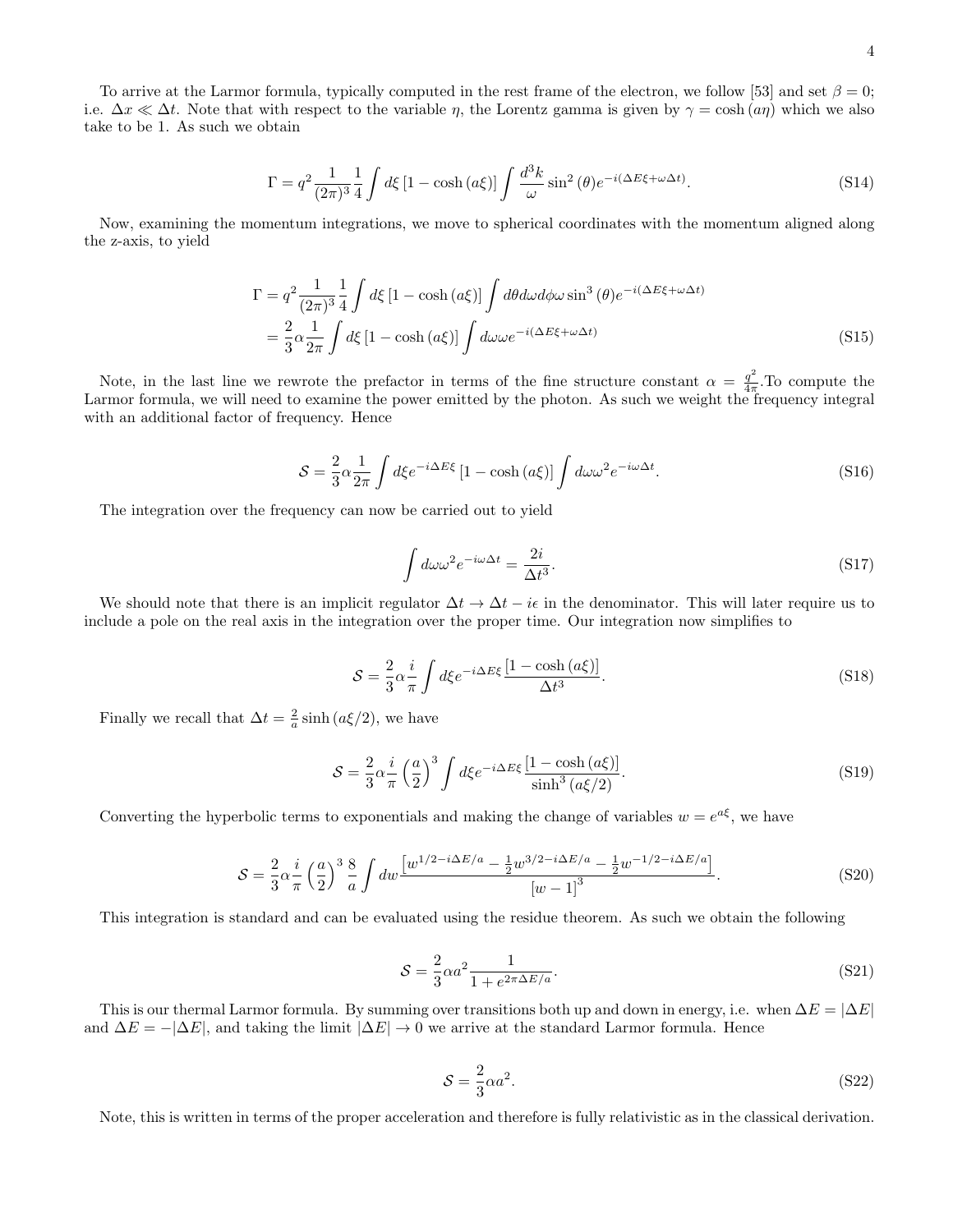To arrive at the Larmor formula, typically computed in the rest frame of the electron, we follow [53] and set  $\beta = 0$ ; i.e.  $\Delta x \ll \Delta t$ . Note that with respect to the variable  $\eta$ , the Lorentz gamma is given by  $\gamma = \cosh (a\eta)$  which we also take to be 1. As such we obtain

$$
\Gamma = q^2 \frac{1}{(2\pi)^3} \frac{1}{4} \int d\xi \left[1 - \cosh\left(a\xi\right)\right] \int \frac{d^3k}{\omega} \sin^2\left(\theta\right) e^{-i(\Delta E\xi + \omega \Delta t)}.\tag{S14}
$$

Now, examining the momentum integrations, we move to spherical coordinates with the momentum aligned along the z-axis, to yield

$$
\Gamma = q^2 \frac{1}{(2\pi)^3} \frac{1}{4} \int d\xi \left[1 - \cosh\left(a\xi\right)\right] \int d\theta d\omega d\phi \omega \sin^3\left(\theta\right) e^{-i(\Delta E\xi + \omega \Delta t)}
$$
  
=  $\frac{2}{3} \alpha \frac{1}{2\pi} \int d\xi \left[1 - \cosh\left(a\xi\right)\right] \int d\omega \omega e^{-i(\Delta E\xi + \omega \Delta t)}$  (S15)

Note, in the last line we rewrote the prefactor in terms of the fine structure constant  $\alpha = \frac{q^2}{4\pi}$  $\frac{q}{4\pi}$ . To compute the Larmor formula, we will need to examine the power emitted by the photon. As such we weight the frequency integral with an additional factor of frequency. Hence

$$
S = \frac{2}{3}\alpha \frac{1}{2\pi} \int d\xi e^{-i\Delta E\xi} \left[1 - \cosh\left(a\xi\right)\right] \int d\omega \omega^2 e^{-i\omega\Delta t}.
$$
 (S16)

The integration over the frequency can now be carried out to yield

$$
\int d\omega \omega^2 e^{-i\omega \Delta t} = \frac{2i}{\Delta t^3}.
$$
\n(S17)

We should note that there is an implicit regulator  $\Delta t \to \Delta t - i\epsilon$  in the denominator. This will later require us to include a pole on the real axis in the integration over the proper time. Our integration now simplifies to

$$
S = \frac{2}{3}\alpha \frac{i}{\pi} \int d\xi e^{-i\Delta E\xi} \frac{[1 - \cosh(a\xi)]}{\Delta t^3}.
$$
 (S18)

Finally we recall that  $\Delta t = \frac{2}{a} \sinh (a \xi/2)$ , we have

$$
S = \frac{2}{3}\alpha \frac{i}{\pi} \left(\frac{a}{2}\right)^3 \int d\xi e^{-i\Delta E\xi} \frac{\left[1 - \cosh\left(a\xi\right)\right]}{\sinh^3\left(a\xi/2\right)}.
$$
\n(S19)

Converting the hyperbolic terms to exponentials and making the change of variables  $w = e^{a\xi}$ , we have

$$
S = \frac{2}{3}\alpha \frac{i}{\pi} \left(\frac{a}{2}\right)^3 \frac{8}{a} \int dw \frac{\left[w^{1/2 - i\Delta E/a} - \frac{1}{2}w^{3/2 - i\Delta E/a} - \frac{1}{2}w^{-1/2 - i\Delta E/a}\right]}{\left[w - 1\right]^3}.
$$
 (S20)

This integration is standard and can be evaluated using the residue theorem. As such we obtain the following

$$
S = \frac{2}{3}\alpha a^2 \frac{1}{1 + e^{2\pi \Delta E/a}}.\tag{S21}
$$

This is our thermal Larmor formula. By summing over transitions both up and down in energy, i.e. when  $\Delta E = |\Delta E|$ and  $\Delta E = -|\Delta E|$ , and taking the limit  $|\Delta E| \to 0$  we arrive at the standard Larmor formula. Hence

$$
S = \frac{2}{3}\alpha a^2. \tag{S22}
$$

Note, this is written in terms of the proper acceleration and therefore is fully relativistic as in the classical derivation.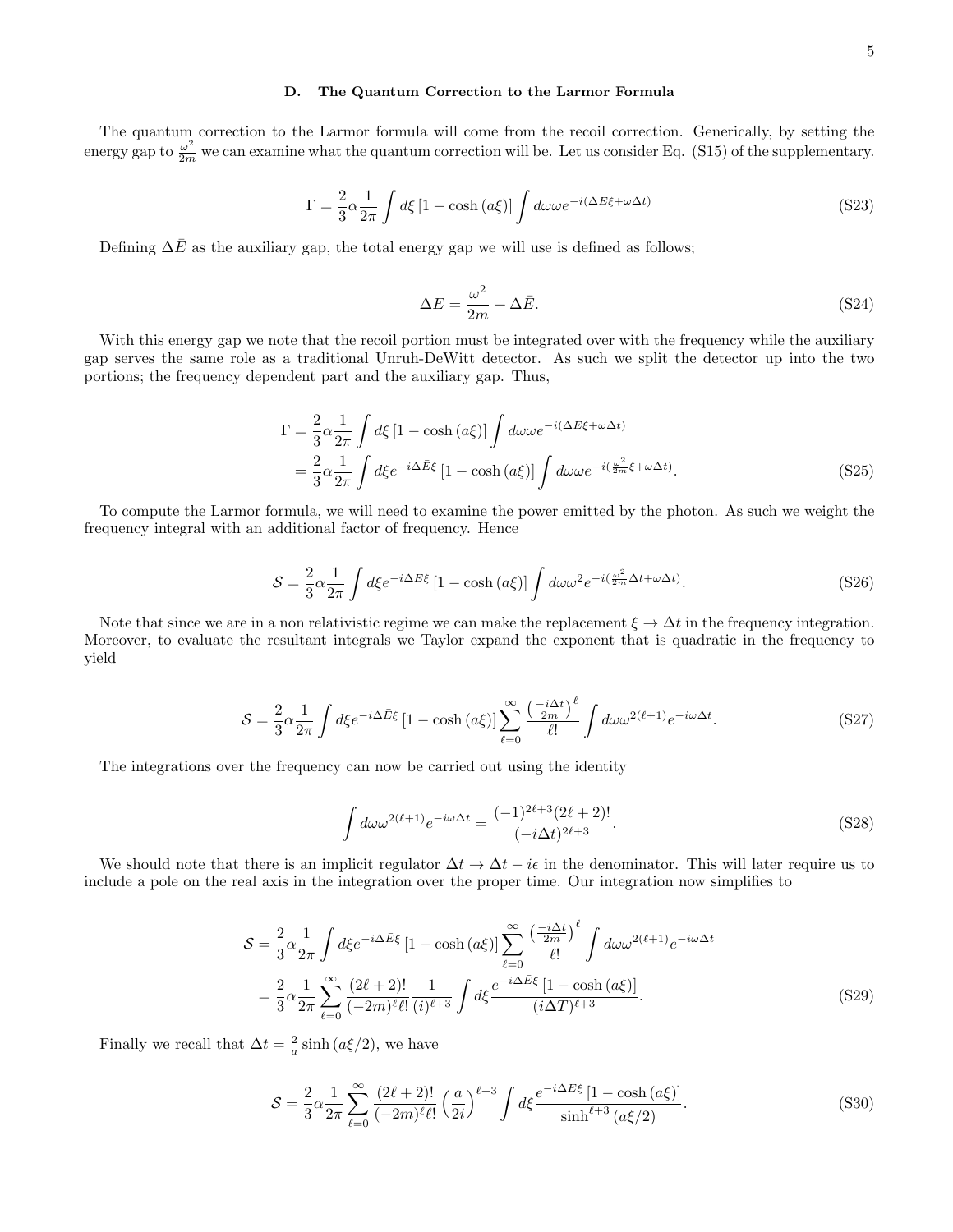## D. The Quantum Correction to the Larmor Formula

The quantum correction to the Larmor formula will come from the recoil correction. Generically, by setting the energy gap to  $\frac{\omega^2}{2m}$  we can examine what the quantum correction will be. Let us consider Eq. (S15) of the supplementary.

$$
\Gamma = \frac{2}{3} \alpha \frac{1}{2\pi} \int d\xi \left[ 1 - \cosh\left(a\xi\right) \right] \int d\omega \omega e^{-i(\Delta E\xi + \omega \Delta t)} \tag{S23}
$$

Defining  $\Delta \bar{E}$  as the auxiliary gap, the total energy gap we will use is defined as follows;

$$
\Delta E = \frac{\omega^2}{2m} + \Delta \bar{E}.\tag{S24}
$$

With this energy gap we note that the recoil portion must be integrated over with the frequency while the auxiliary gap serves the same role as a traditional Unruh-DeWitt detector. As such we split the detector up into the two portions; the frequency dependent part and the auxiliary gap. Thus,

$$
\Gamma = \frac{2}{3} \alpha \frac{1}{2\pi} \int d\xi \left[ 1 - \cosh\left(a\xi\right) \right] \int d\omega \omega e^{-i(\Delta E\xi + \omega \Delta t)}
$$
  
= 
$$
\frac{2}{3} \alpha \frac{1}{2\pi} \int d\xi e^{-i\Delta \bar{E}\xi} \left[ 1 - \cosh\left(a\xi\right) \right] \int d\omega \omega e^{-i\left(\frac{\omega^2}{2m}\xi + \omega \Delta t\right)}.
$$
 (S25)

To compute the Larmor formula, we will need to examine the power emitted by the photon. As such we weight the frequency integral with an additional factor of frequency. Hence

$$
S = \frac{2}{3}\alpha \frac{1}{2\pi} \int d\xi e^{-i\Delta \bar{E}\xi} \left[1 - \cosh\left(a\xi\right)\right] \int d\omega \omega^2 e^{-i\left(\frac{\omega^2}{2m}\Delta t + \omega \Delta t\right)}.\tag{S26}
$$

Note that since we are in a non relativistic regime we can make the replacement  $\xi \to \Delta t$  in the frequency integration. Moreover, to evaluate the resultant integrals we Taylor expand the exponent that is quadratic in the frequency to yield

$$
S = \frac{2}{3}\alpha \frac{1}{2\pi} \int d\xi e^{-i\Delta \bar{E}\xi} \left[1 - \cosh\left(a\xi\right)\right] \sum_{\ell=0}^{\infty} \frac{\left(\frac{-i\Delta t}{2m}\right)^{\ell}}{\ell!} \int d\omega \omega^{2(\ell+1)} e^{-i\omega \Delta t}.
$$
 (S27)

The integrations over the frequency can now be carried out using the identity

$$
\int d\omega \omega^{2(\ell+1)} e^{-i\omega \Delta t} = \frac{(-1)^{2\ell+3} (2\ell+2)!}{(-i\Delta t)^{2\ell+3}}.
$$
\n(S28)

We should note that there is an implicit regulator  $\Delta t \to \Delta t - i\epsilon$  in the denominator. This will later require us to include a pole on the real axis in the integration over the proper time. Our integration now simplifies to

$$
S = \frac{2}{3}\alpha \frac{1}{2\pi} \int d\xi e^{-i\Delta \bar{E}\xi} \left[1 - \cosh\left(a\xi\right)\right] \sum_{\ell=0}^{\infty} \frac{\left(\frac{-i\Delta t}{2m}\right)^{\ell}}{\ell!} \int d\omega \omega^{2(\ell+1)} e^{-i\omega\Delta t}
$$

$$
= \frac{2}{3}\alpha \frac{1}{2\pi} \sum_{\ell=0}^{\infty} \frac{(2\ell+2)!}{(-2m)^{\ell} \ell!} \frac{1}{(i)^{\ell+3}} \int d\xi \frac{e^{-i\Delta \bar{E}\xi} \left[1 - \cosh\left(a\xi\right)\right]}{(i\Delta T)^{\ell+3}}.
$$
(S29)

Finally we recall that  $\Delta t = \frac{2}{a} \sinh (a \xi/2)$ , we have

$$
S = \frac{2}{3}\alpha \frac{1}{2\pi} \sum_{\ell=0}^{\infty} \frac{(2\ell+2)!}{(-2m)^{\ell}\ell!} \left(\frac{a}{2i}\right)^{\ell+3} \int d\xi \frac{e^{-i\Delta\bar{E}\xi} [1 - \cosh(a\xi)]}{\sinh^{\ell+3}(a\xi/2)}.
$$
 (S30)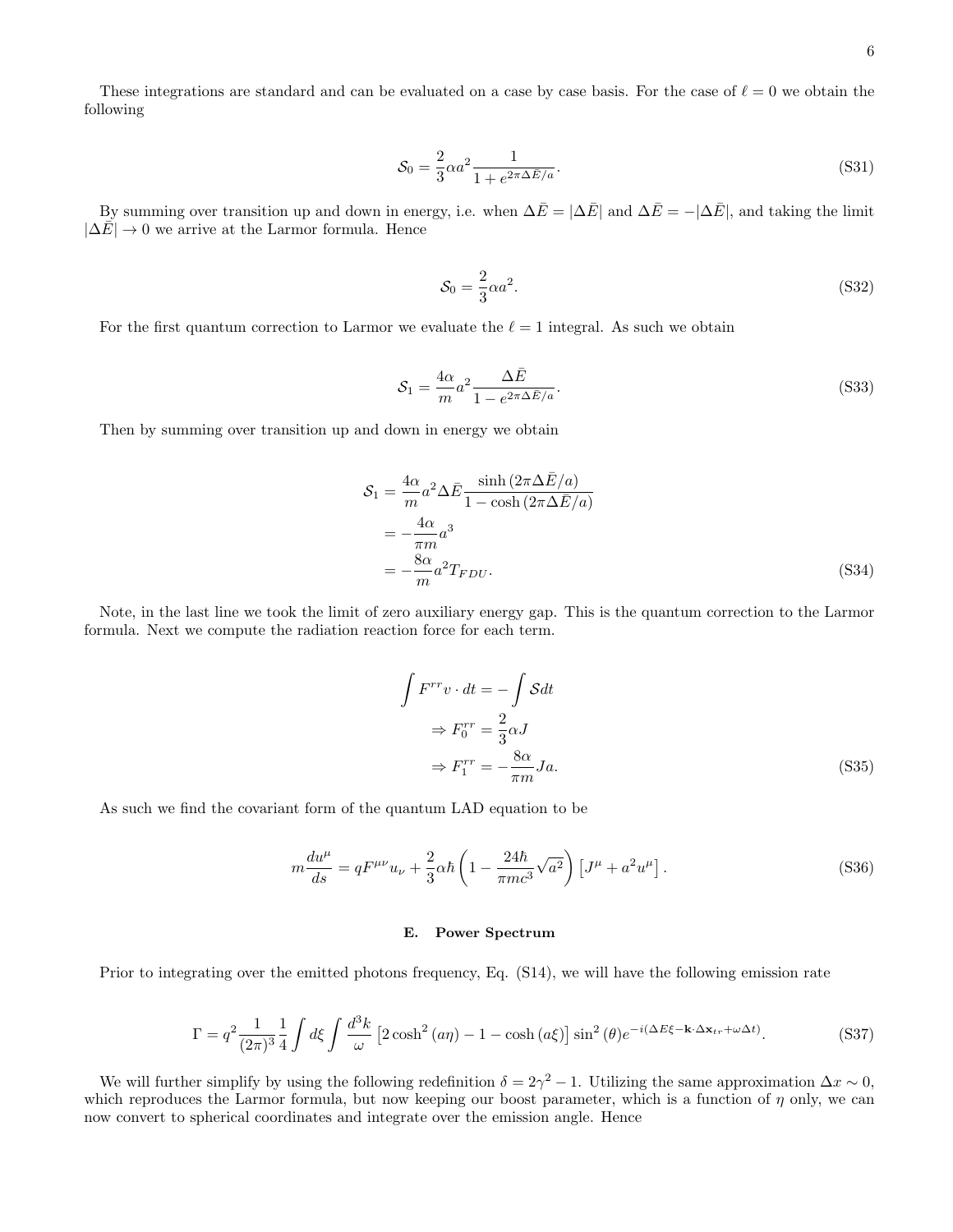These integrations are standard and can be evaluated on a case by case basis. For the case of  $\ell = 0$  we obtain the following

$$
S_0 = \frac{2}{3} \alpha a^2 \frac{1}{1 + e^{2\pi \Delta \bar{E}/a}}.
$$
\n(S31)

By summing over transition up and down in energy, i.e. when  $\Delta \bar{E} = |\Delta \bar{E}|$  and  $\Delta \bar{E} = -|\Delta \bar{E}|$ , and taking the limit  $|\Delta \bar{E}| \rightarrow 0$  we arrive at the Larmor formula. Hence

$$
\mathcal{S}_0 = \frac{2}{3}\alpha a^2. \tag{S32}
$$

For the first quantum correction to Larmor we evaluate the  $\ell = 1$  integral. As such we obtain

$$
\mathcal{S}_1 = \frac{4\alpha}{m} a^2 \frac{\Delta \bar{E}}{1 - e^{2\pi \Delta \bar{E}/a}}.
$$
\n(S33)

Then by summing over transition up and down in energy we obtain

$$
S_1 = \frac{4\alpha}{m} a^2 \Delta \bar{E} \frac{\sinh\left(2\pi \Delta \bar{E}/a\right)}{1 - \cosh\left(2\pi \Delta \bar{E}/a\right)}
$$
  
= 
$$
-\frac{4\alpha}{\pi m} a^3
$$
  
= 
$$
-\frac{8\alpha}{m} a^2 T_{FDU}.
$$
 (S34)

Note, in the last line we took the limit of zero auxiliary energy gap. This is the quantum correction to the Larmor formula. Next we compute the radiation reaction force for each term.

$$
\int F^{rr} v \cdot dt = -\int S dt
$$
  
\n
$$
\Rightarrow F_0^{rr} = \frac{2}{3} \alpha J
$$
  
\n
$$
\Rightarrow F_1^{rr} = -\frac{8\alpha}{\pi m} J a.
$$
 (S35)

As such we find the covariant form of the quantum LAD equation to be

J

$$
m\frac{du^{\mu}}{ds} = qF^{\mu\nu}u_{\nu} + \frac{2}{3}\alpha\hbar\left(1 - \frac{24\hbar}{\pi mc^3}\sqrt{a^2}\right)\left[J^{\mu} + a^2u^{\mu}\right].
$$
 (S36)

#### E. Power Spectrum

Prior to integrating over the emitted photons frequency, Eq. (S14), we will have the following emission rate

$$
\Gamma = q^2 \frac{1}{(2\pi)^3} \frac{1}{4} \int d\xi \int \frac{d^3k}{\omega} \left[ 2\cosh^2(a\eta) - 1 - \cosh(a\xi) \right] \sin^2(\theta) e^{-i(\Delta E\xi - \mathbf{k} \cdot \Delta \mathbf{x}_{tr} + \omega \Delta t)}.
$$
 (S37)

We will further simplify by using the following redefinition  $\delta = 2\gamma^2 - 1$ . Utilizing the same approximation  $\Delta x \sim 0$ , which reproduces the Larmor formula, but now keeping our boost parameter, which is a function of  $\eta$  only, we can now convert to spherical coordinates and integrate over the emission angle. Hence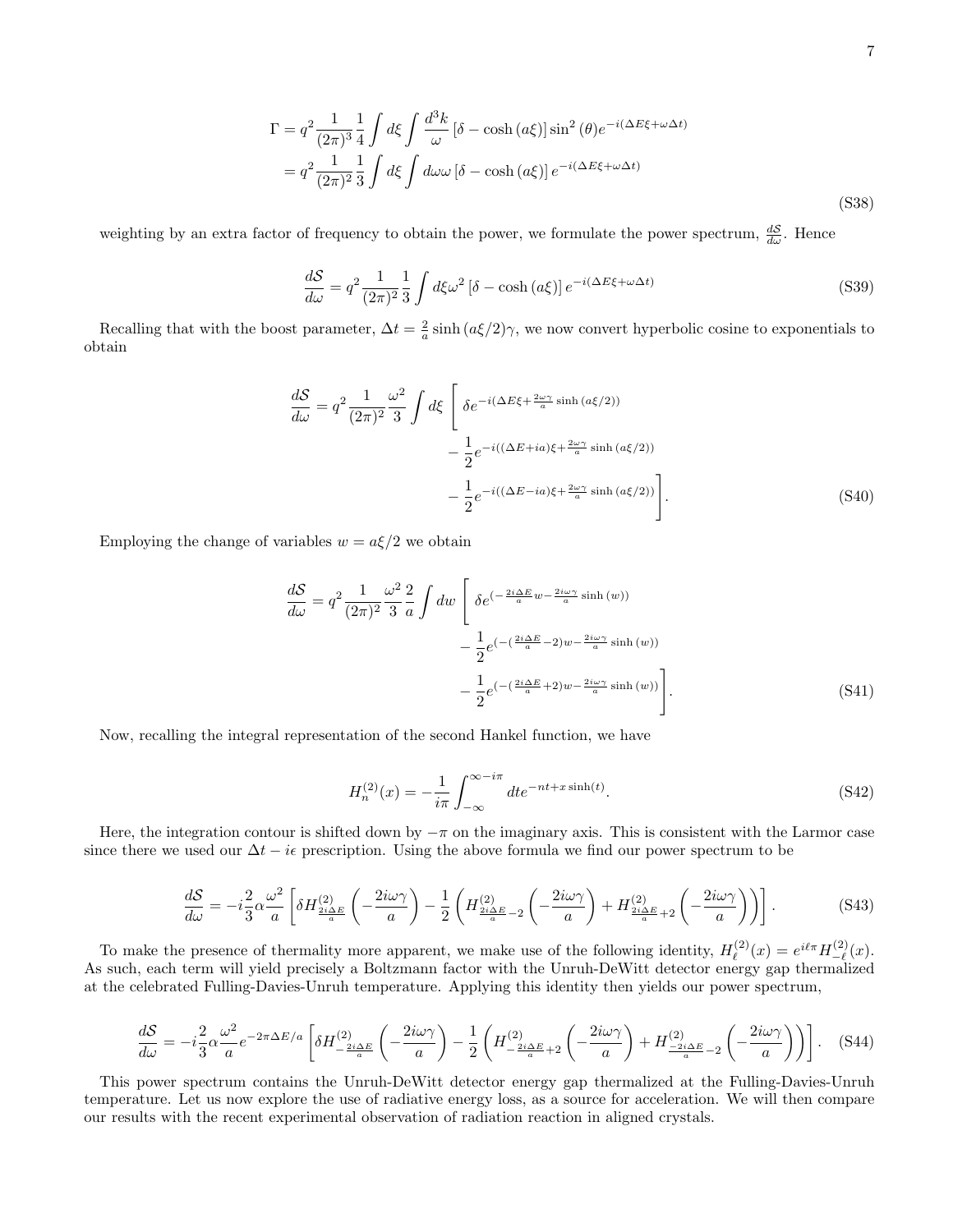$$
\Gamma = q^2 \frac{1}{(2\pi)^3} \frac{1}{4} \int d\xi \int \frac{d^3k}{\omega} \left[ \delta - \cosh\left(a\xi\right) \right] \sin^2\left(\theta\right) e^{-i(\Delta E\xi + \omega \Delta t)}
$$

$$
= q^2 \frac{1}{(2\pi)^2} \frac{1}{3} \int d\xi \int d\omega \omega \left[ \delta - \cosh\left(a\xi\right) \right] e^{-i(\Delta E\xi + \omega \Delta t)}
$$
(S38)

weighting by an extra factor of frequency to obtain the power, we formulate the power spectrum,  $\frac{dS}{d\omega}$ . Hence

$$
\frac{dS}{d\omega} = q^2 \frac{1}{(2\pi)^2} \frac{1}{3} \int d\xi \omega^2 \left[ \delta - \cosh\left(a\xi\right) \right] e^{-i(\Delta E\xi + \omega \Delta t)} \tag{S39}
$$

Recalling that with the boost parameter,  $\Delta t = \frac{2}{a} \sinh (a\xi/2)\gamma$ , we now convert hyperbolic cosine to exponentials to obtain

$$
\frac{dS}{d\omega} = q^2 \frac{1}{(2\pi)^2} \frac{\omega^2}{3} \int d\xi \left[ \delta e^{-i(\Delta E\xi + \frac{2\omega\gamma}{a}\sinh{(a\xi/2)})} - \frac{1}{2} e^{-i((\Delta E + ia)\xi + \frac{2\omega\gamma}{a}\sinh{(a\xi/2)})} - \frac{1}{2} e^{-i((\Delta E - ia)\xi + \frac{2\omega\gamma}{a}\sinh{(a\xi/2)})} \right].
$$
\n(S40)

Employing the change of variables  $w = a\xi/2$  we obtain

$$
\frac{dS}{d\omega} = q^2 \frac{1}{(2\pi)^2} \frac{\omega^2}{3} \frac{2}{a} \int dw \left[ \delta e^{(-\frac{2i\Delta E}{a}w - \frac{2i\omega\gamma}{a}\sinh(w))} - \frac{1}{2} e^{(-\left(\frac{2i\Delta E}{a} - 2\right)w - \frac{2i\omega\gamma}{a}\sinh(w))} - \frac{1}{2} e^{(-\left(\frac{2i\Delta E}{a} + 2\right)w - \frac{2i\omega\gamma}{a}\sinh(w))} \right].
$$
\n(S41)

Now, recalling the integral representation of the second Hankel function, we have

$$
H_n^{(2)}(x) = -\frac{1}{i\pi} \int_{-\infty}^{\infty - i\pi} dt e^{-nt + x \sinh(t)}.
$$
 (S42)

Here, the integration contour is shifted down by  $-\pi$  on the imaginary axis. This is consistent with the Larmor case since there we used our  $\Delta t - i\epsilon$  prescription. Using the above formula we find our power spectrum to be

$$
\frac{d\mathcal{S}}{d\omega} = -i\frac{2}{3}\alpha\frac{\omega^2}{a} \left[ \delta H_{\frac{2i\Delta E}{a}}^{(2)}\left( -\frac{2i\omega\gamma}{a} \right) - \frac{1}{2} \left( H_{\frac{2i\Delta E}{a} - 2}^{(2)}\left( -\frac{2i\omega\gamma}{a} \right) + H_{\frac{2i\Delta E}{a} + 2}^{(2)}\left( -\frac{2i\omega\gamma}{a} \right) \right) \right].
$$
\n(S43)

To make the presence of thermality more apparent, we make use of the following identity,  $H_{\ell}^{(2)}$  $e^{i(2)}(x) = e^{i\ell\pi} H_{-\ell}^{(2)}$  $\frac{f^{(2)}(x)}{f(x)}$ . As such, each term will yield precisely a Boltzmann factor with the Unruh-DeWitt detector energy gap thermalized at the celebrated Fulling-Davies-Unruh temperature. Applying this identity then yields our power spectrum,

$$
\frac{dS}{d\omega} = -i\frac{2}{3}\alpha\frac{\omega^2}{a}e^{-2\pi\Delta E/a} \left[ \delta H_{-\frac{2i\Delta E}{a}}^{(2)} \left( -\frac{2i\omega\gamma}{a} \right) - \frac{1}{2} \left( H_{-\frac{2i\Delta E}{a}+2}^{(2)} \left( -\frac{2i\omega\gamma}{a} \right) + H_{-\frac{2i\Delta E}{a}-2}^{(2)} \left( -\frac{2i\omega\gamma}{a} \right) \right) \right].
$$
 (S44)

This power spectrum contains the Unruh-DeWitt detector energy gap thermalized at the Fulling-Davies-Unruh temperature. Let us now explore the use of radiative energy loss, as a source for acceleration. We will then compare our results with the recent experimental observation of radiation reaction in aligned crystals.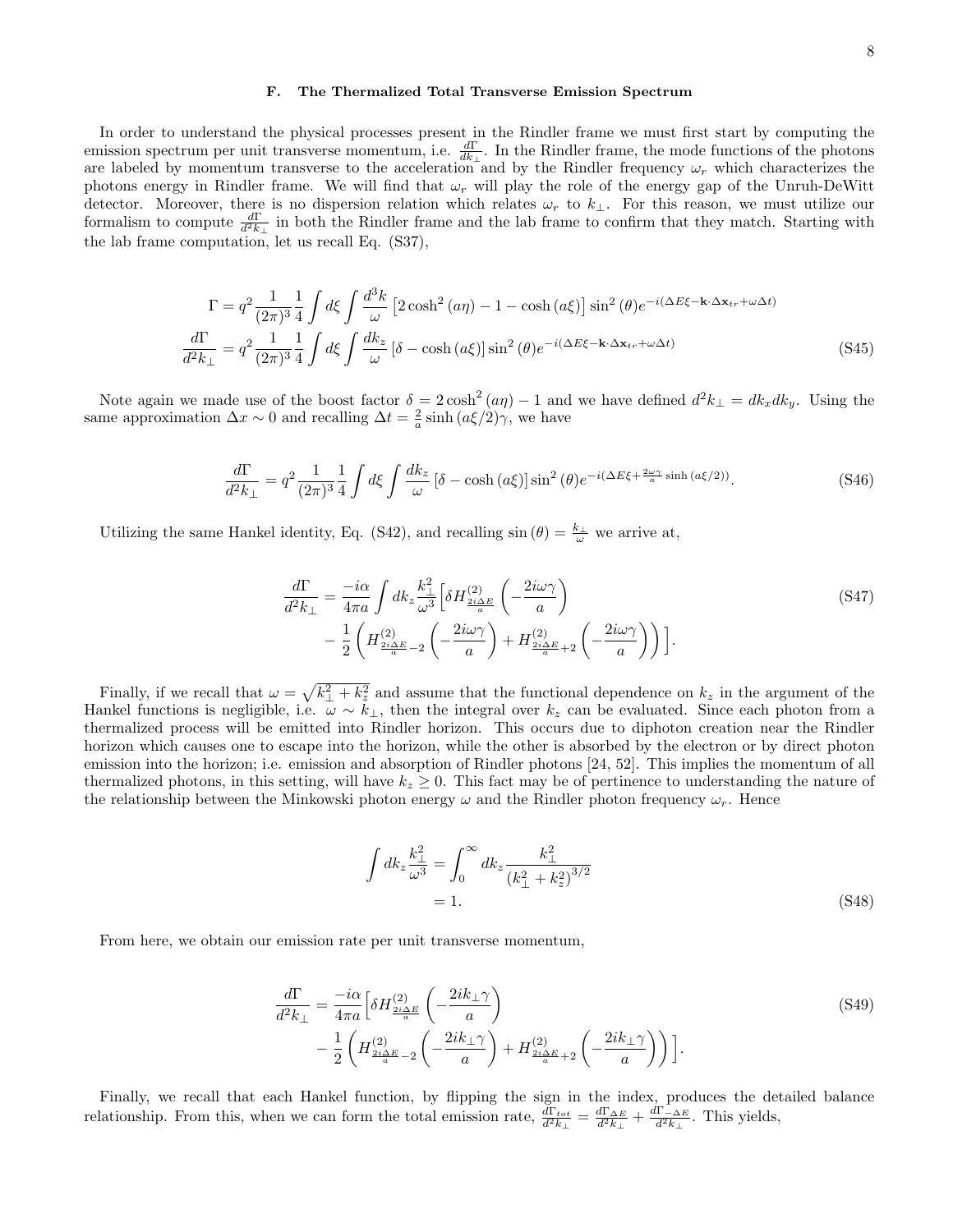In order to understand the physical processes present in the Rindler frame we must first start by computing the emission spectrum per unit transverse momentum, i.e.  $\frac{d\Gamma}{dk_{\perp}}$ . In the Rindler frame, the mode functions of the photons are labeled by momentum transverse to the acceleration and by the Rindler frequency  $\omega_r$  which characterizes the photons energy in Rindler frame. We will find that  $\omega_r$  will play the role of the energy gap of the Unruh-DeWitt detector. Moreover, there is no dispersion relation which relates  $\omega_r$  to  $k_{\perp}$ . For this reason, we must utilize our formalism to compute  $\frac{d\Gamma}{d^2k_{\perp}}$  in both the Rindler frame and the lab frame to confirm that they match. Starting with the lab frame computation, let us recall Eq. (S37),

$$
\Gamma = q^2 \frac{1}{(2\pi)^3} \frac{1}{4} \int d\xi \int \frac{d^3k}{\omega} \left[ 2\cosh^2(a\eta) - 1 - \cosh(a\xi) \right] \sin^2(\theta) e^{-i(\Delta E\xi - \mathbf{k} \cdot \Delta \mathbf{x}_{tr} + \omega \Delta t)}
$$

$$
\frac{d\Gamma}{d^2k_{\perp}} = q^2 \frac{1}{(2\pi)^3} \frac{1}{4} \int d\xi \int \frac{dk_z}{\omega} \left[ \delta - \cosh(a\xi) \right] \sin^2(\theta) e^{-i(\Delta E\xi - \mathbf{k} \cdot \Delta \mathbf{x}_{tr} + \omega \Delta t)} \tag{S45}
$$

Note again we made use of the boost factor  $\delta = 2 \cosh^2(a\eta) - 1$  and we have defined  $d^2k_{\perp} = dk_x dk_y$ . Using the same approximation  $\Delta x \sim 0$  and recalling  $\Delta t = \frac{2}{a} \sinh \left( \frac{a \xi}{2} \right) \gamma$ , we have

$$
\frac{d\Gamma}{d^2k_{\perp}} = q^2 \frac{1}{(2\pi)^3} \frac{1}{4} \int d\xi \int \frac{dk_z}{\omega} \left[ \delta - \cosh\left(a\xi\right) \right] \sin^2\left(\theta\right) e^{-i(\Delta E\xi + \frac{2\omega\gamma}{a}\sinh\left(a\xi/2\right))}.\tag{S46}
$$

Utilizing the same Hankel identity, Eq. (S42), and recalling  $\sin (\theta) = \frac{k_{\perp}}{\omega}$  we arrive at,

$$
\frac{d\Gamma}{d^2 k_{\perp}} = \frac{-i\alpha}{4\pi a} \int dk_z \frac{k_{\perp}^2}{\omega^3} \left[ \delta H_{\frac{2i\Delta E}{a}}^{(2)} \left( -\frac{2i\omega\gamma}{a} \right) \right. \\
\left. - \frac{1}{2} \left( H_{\frac{2i\Delta E}{a} - 2}^{(2)} \left( -\frac{2i\omega\gamma}{a} \right) + H_{\frac{2i\Delta E}{a} + 2}^{(2)} \left( -\frac{2i\omega\gamma}{a} \right) \right) \right].
$$
\n(S47)

Finally, if we recall that  $\omega = \sqrt{k_{\perp}^2 + k_z^2}$  and assume that the functional dependence on  $k_z$  in the argument of the Hankel functions is negligible, i.e.  $\omega \sim k_{\perp}$ , then the integral over  $k_z$  can be evaluated. Since each photon from a thermalized process will be emitted into Rindler horizon. This occurs due to diphoton creation near the Rindler horizon which causes one to escape into the horizon, while the other is absorbed by the electron or by direct photon emission into the horizon; i.e. emission and absorption of Rindler photons [24, 52]. This implies the momentum of all thermalized photons, in this setting, will have  $k_z \geq 0$ . This fact may be of pertinence to understanding the nature of the relationship between the Minkowski photon energy  $\omega$  and the Rindler photon frequency  $\omega_r$ . Hence

$$
\int dk_z \frac{k_{\perp}^2}{\omega^3} = \int_0^{\infty} dk_z \frac{k_{\perp}^2}{\left(k_{\perp}^2 + k_z^2\right)^{3/2}}
$$
  
= 1. (S48)

From here, we obtain our emission rate per unit transverse momentum,

$$
\frac{d\Gamma}{d^2k_{\perp}} = \frac{-i\alpha}{4\pi a} \left[ \delta H_{\frac{2i\Delta E}{a}}^{(2)} \left( -\frac{2ik_{\perp}\gamma}{a} \right) - \frac{1}{2} \left( H_{\frac{2i\Delta E}{a} - 2}^{(2)} \left( -\frac{2ik_{\perp}\gamma}{a} \right) + H_{\frac{2i\Delta E}{a} + 2}^{(2)} \left( -\frac{2ik_{\perp}\gamma}{a} \right) \right) \right].
$$
\n(S49)

Finally, we recall that each Hankel function, by flipping the sign in the index, produces the detailed balance relationship. From this, when we can form the total emission rate,  $\frac{d\Gamma_{tot}}{d^2k_{\perp}} = \frac{d\Gamma_{\Delta E}}{d^2k_{\perp}} + \frac{d\Gamma_{\Delta E}}{d^2k_{\perp}}$ . This yields,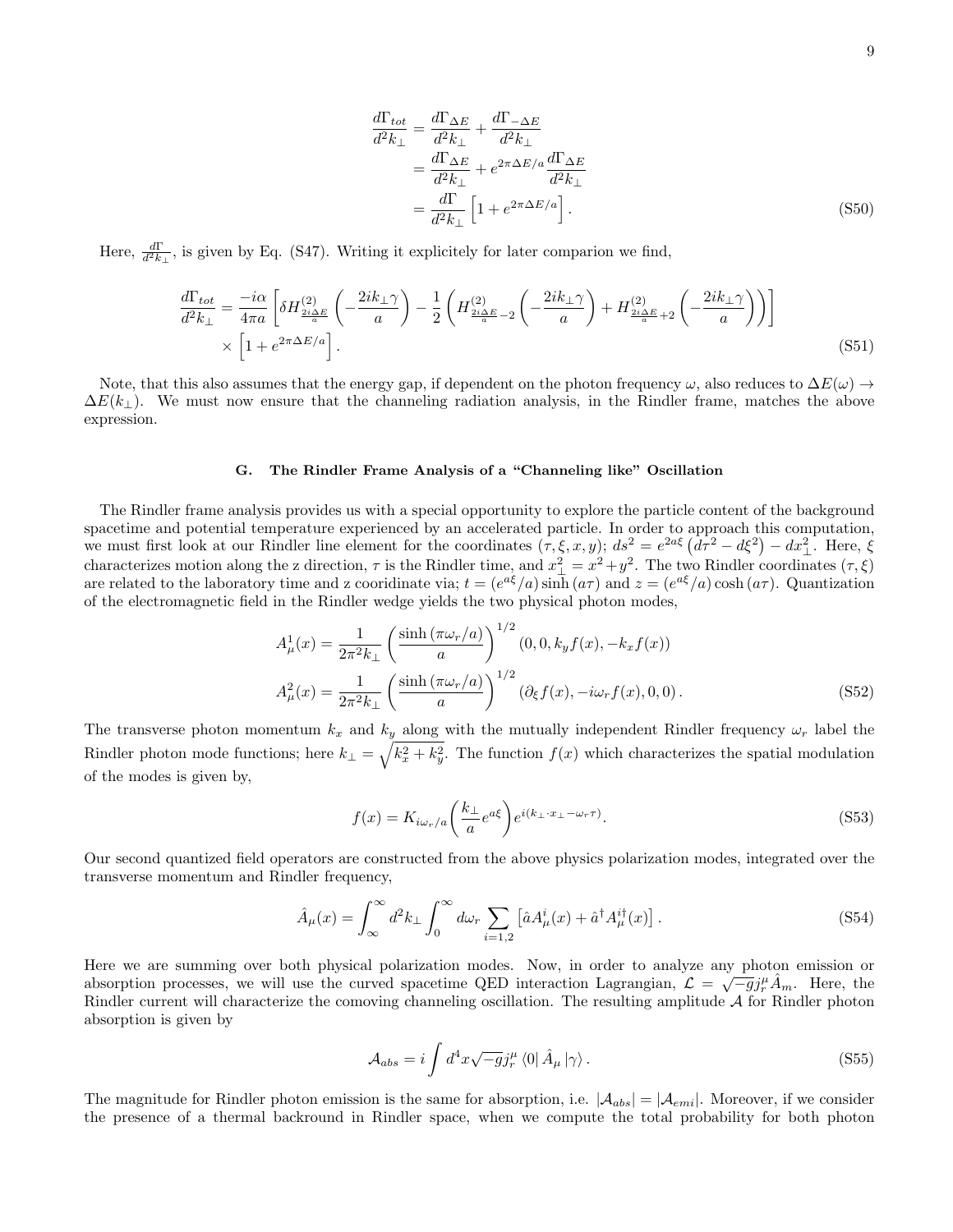$$
\frac{d\Gamma_{tot}}{d^2k_{\perp}} = \frac{d\Gamma_{\Delta E}}{d^2k_{\perp}} + \frac{d\Gamma_{-\Delta E}}{d^2k_{\perp}}
$$
\n
$$
= \frac{d\Gamma_{\Delta E}}{d^2k_{\perp}} + e^{2\pi\Delta E/a} \frac{d\Gamma_{\Delta E}}{d^2k_{\perp}}
$$
\n
$$
= \frac{d\Gamma}{d^2k_{\perp}} \left[1 + e^{2\pi\Delta E/a}\right]. \tag{S50}
$$

Here,  $\frac{d\Gamma}{d^2k_{\perp}}$ , is given by Eq. (S47). Writing it explicitely for later comparion we find,

$$
\frac{d\Gamma_{tot}}{d^2k_{\perp}} = \frac{-i\alpha}{4\pi a} \left[ \delta H_{\frac{2i\Delta E}{a}}^{(2)} \left( -\frac{2ik_{\perp}\gamma}{a} \right) - \frac{1}{2} \left( H_{\frac{2i\Delta E}{a} - 2}^{(2)} \left( -\frac{2ik_{\perp}\gamma}{a} \right) + H_{\frac{2i\Delta E}{a} + 2}^{(2)} \left( -\frac{2ik_{\perp}\gamma}{a} \right) \right) \right] \times \left[ 1 + e^{2\pi \Delta E/a} \right].
$$
\n(S51)

Note, that this also assumes that the energy gap, if dependent on the photon frequency  $\omega$ , also reduces to  $\Delta E(\omega) \rightarrow$  $\Delta E(k_{\perp})$ . We must now ensure that the channeling radiation analysis, in the Rindler frame, matches the above expression.

#### G. The Rindler Frame Analysis of a "Channeling like" Oscillation

The Rindler frame analysis provides us with a special opportunity to explore the particle content of the background spacetime and potential temperature experienced by an accelerated particle. In order to approach this computation, we must first look at our Rindler line element for the coordinates  $(\tau, \xi, x, y)$ ;  $ds^2 = e^{2a\xi} (d\tau^2 - d\xi^2) - dx_\perp^2$ . Here,  $\xi$ characterizes motion along the z direction,  $\tau$  is the Rindler time, and  $x_{\perp}^2 = x^2 + y^2$ . The two Rindler coordinates  $(\tau, \xi)$ are related to the laboratory time and z cooridinate via;  $t = (e^{a\xi}/a) \sinh(a\tau)$  and  $z = (e^{a\xi}/a) \cosh(a\tau)$ . Quantization of the electromagnetic field in the Rindler wedge yields the two physical photon modes,

$$
A_{\mu}^{1}(x) = \frac{1}{2\pi^{2}k_{\perp}} \left(\frac{\sinh\left(\pi\omega_{r}/a\right)}{a}\right)^{1/2} (0, 0, k_{y}f(x), -k_{x}f(x))
$$

$$
A_{\mu}^{2}(x) = \frac{1}{2\pi^{2}k_{\perp}} \left(\frac{\sinh\left(\pi\omega_{r}/a\right)}{a}\right)^{1/2} (\partial_{\xi}f(x), -i\omega_{r}f(x), 0, 0). \tag{S52}
$$

The transverse photon momentum  $k_x$  and  $k_y$  along with the mutually independent Rindler frequency  $\omega_r$  label the Rindler photon mode functions; here  $k_{\perp} = \sqrt{k_x^2 + k_y^2}$ . The function  $f(x)$  which characterizes the spatial modulation of the modes is given by,

$$
f(x) = K_{i\omega_r/a} \left(\frac{k_{\perp}}{a} e^{a\xi}\right) e^{i(k_{\perp} \cdot x_{\perp} - \omega_r \tau)}.
$$
\n(S53)

Our second quantized field operators are constructed from the above physics polarization modes, integrated over the transverse momentum and Rindler frequency,

$$
\hat{A}_{\mu}(x) = \int_{\infty}^{\infty} d^2 k_{\perp} \int_{0}^{\infty} d\omega_r \sum_{i=1,2} \left[ \hat{a} A_{\mu}^i(x) + \hat{a}^{\dagger} A_{\mu}^{i\dagger}(x) \right]. \tag{S54}
$$

Here we are summing over both physical polarization modes. Now, in order to analyze any photon emission or absorption processes, we will use the curved spacetime QED interaction Lagrangian,  $\mathcal{L} = \sqrt{-g} j_r^{\mu} \hat{A}_m$ . Here, the Rindler current will characterize the comoving channeling oscillation. The resulting amplitude  $A$  for Rindler photon absorption is given by

$$
\mathcal{A}_{abs} = i \int d^4x \sqrt{-g} j_r^{\mu} \langle 0 | \hat{A}_{\mu} | \gamma \rangle.
$$
 (S55)

The magnitude for Rindler photon emission is the same for absorption, i.e.  $|\mathcal{A}_{abs}| = |\mathcal{A}_{emi}|$ . Moreover, if we consider the presence of a thermal backround in Rindler space, when we compute the total probability for both photon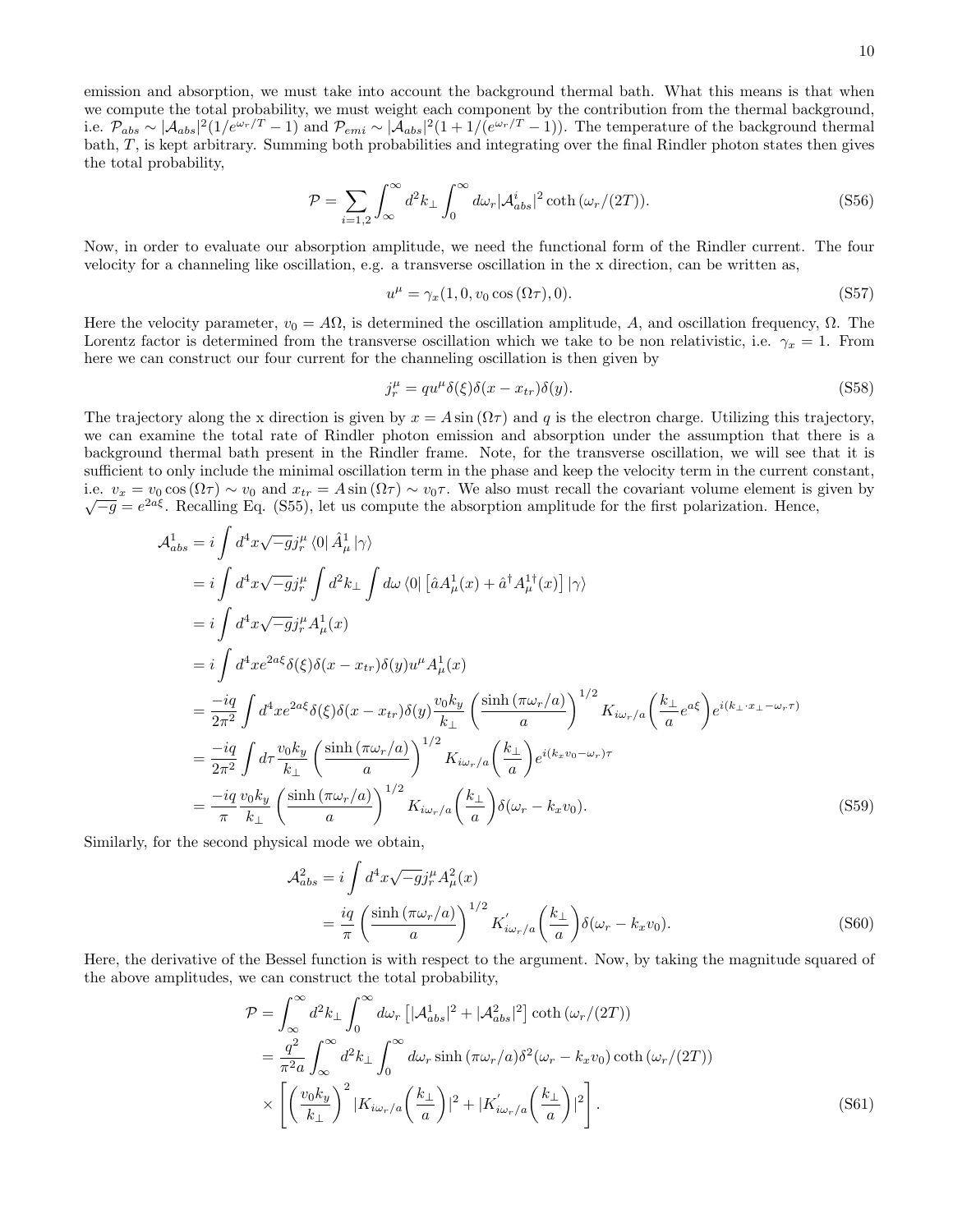emission and absorption, we must take into account the background thermal bath. What this means is that when we compute the total probability, we must weight each component by the contribution from the thermal background, i.e.  $\mathcal{P}_{abs} \sim |\mathcal{A}_{abs}|^2 (1/e^{\omega_r/T} - 1)$  and  $\mathcal{P}_{emi} \sim |\mathcal{A}_{abs}|^2 (1 + 1/(e^{\omega_r/T} - 1))$ . The temperature of the background thermal bath, T, is kept arbitrary. Summing both probabilities and integrating over the final Rindler photon states then gives the total probability,

$$
\mathcal{P} = \sum_{i=1,2} \int_{\infty}^{\infty} d^2 k_{\perp} \int_{0}^{\infty} d\omega_{r} |\mathcal{A}_{abs}^{i}|^{2} \coth(\omega_{r}/(2T)).
$$
\n(S56)

Now, in order to evaluate our absorption amplitude, we need the functional form of the Rindler current. The four velocity for a channeling like oscillation, e.g. a transverse oscillation in the x direction, can be written as,

$$
u^{\mu} = \gamma_x(1, 0, v_0 \cos(\Omega \tau), 0). \tag{S57}
$$

Here the velocity parameter,  $v_0 = A\Omega$ , is determined the oscillation amplitude, A, and oscillation frequency,  $\Omega$ . The Lorentz factor is determined from the transverse oscillation which we take to be non relativistic, i.e.  $\gamma_x = 1$ . From here we can construct our four current for the channeling oscillation is then given by

$$
j_r^{\mu} = qu^{\mu}\delta(\xi)\delta(x - x_{tr})\delta(y). \tag{S58}
$$

The trajectory along the x direction is given by  $x = A \sin(\Omega \tau)$  and q is the electron charge. Utilizing this trajectory, we can examine the total rate of Rindler photon emission and absorption under the assumption that there is a background thermal bath present in the Rindler frame. Note, for the transverse oscillation, we will see that it is sufficient to only include the minimal oscillation term in the phase and keep the velocity term in the current constant, i.e.  $v_x = v_0 \cos(\Omega \tau) \sim v_0$  and  $x_{tr} = A \sin(\Omega \tau) \sim v_0 \tau$ . We also must recall the covariant volume element is given by  $\overline{-g} = e^{2a\xi}$ . Recalling Eq. (S55), let us compute the absorption amplitude for the first polarization. Hence,

$$
\mathcal{A}_{abs}^{1} = i \int d^{4}x \sqrt{-g} j_{r}^{\mu} \langle 0 | \hat{A}_{\mu}^{1} | \gamma \rangle
$$
  
\n
$$
= i \int d^{4}x \sqrt{-g} j_{r}^{\mu} \int d^{2}k_{\perp} \int d\omega \langle 0 | [\hat{a} A_{\mu}^{1}(x) + \hat{a}^{\dagger} A_{\mu}^{1\dagger}(x)] | \gamma \rangle
$$
  
\n
$$
= i \int d^{4}x \sqrt{-g} j_{r}^{\mu} A_{\mu}^{1}(x)
$$
  
\n
$$
= i \int d^{4}x e^{2a\xi} \delta(\xi) \delta(x - x_{tr}) \delta(y) u^{\mu} A_{\mu}^{1}(x)
$$
  
\n
$$
= \frac{-iq}{2\pi^{2}} \int d^{4}x e^{2a\xi} \delta(\xi) \delta(x - x_{tr}) \delta(y) \frac{v_{0}k_{y}}{k_{\perp}} \left( \frac{\sinh(\pi \omega_{r}/a)}{a} \right)^{1/2} K_{i\omega_{r}/a} \left( \frac{k_{\perp}}{a} e^{a\xi} \right) e^{i(k_{\perp} \cdot x_{\perp} - \omega_{r}\tau)}
$$
  
\n
$$
= \frac{-iq}{2\pi^{2}} \int d\tau \frac{v_{0}k_{y}}{k_{\perp}} \left( \frac{\sinh(\pi \omega_{r}/a)}{a} \right)^{1/2} K_{i\omega_{r}/a} \left( \frac{k_{\perp}}{a} \right) e^{i(k_{x}v_{0} - \omega_{r})\tau}
$$
  
\n
$$
= \frac{-iq}{\pi} \frac{v_{0}k_{y}}{k_{\perp}} \left( \frac{\sinh(\pi \omega_{r}/a)}{a} \right)^{1/2} K_{i\omega_{r}/a} \left( \frac{k_{\perp}}{a} \right) \delta(\omega_{r} - k_{x}v_{0}).
$$
  
\nFor the second physical mode we obtain

Similarly, for the second physical mode we obtain,

$$
\mathcal{A}_{abs}^2 = i \int d^4x \sqrt{-g} j_r^{\mu} A_{\mu}^2(x)
$$
  
=  $\frac{iq}{\pi} \left( \frac{\sinh(\pi \omega_r/a)}{a} \right)^{1/2} K'_{i\omega_r/a} \left( \frac{k_{\perp}}{a} \right) \delta(\omega_r - k_x v_0).$  (S60)

Here, the derivative of the Bessel function is with respect to the argument. Now, by taking the magnitude squared of the above amplitudes, we can construct the total probability,

$$
\mathcal{P} = \int_{\infty}^{\infty} d^2 k_{\perp} \int_{0}^{\infty} d\omega_{r} \left[ |\mathcal{A}_{abs}^{1}|^{2} + |\mathcal{A}_{abs}^{2}|^{2} \right] \coth\left(\omega_{r}/(2T)\right)
$$
\n
$$
= \frac{q^{2}}{\pi^{2} a} \int_{\infty}^{\infty} d^{2} k_{\perp} \int_{0}^{\infty} d\omega_{r} \sinh\left(\pi \omega_{r}/a\right) \delta^{2}(\omega_{r} - k_{x} v_{0}) \coth\left(\omega_{r}/(2T)\right)
$$
\n
$$
\times \left[ \left(\frac{v_{0} k_{y}}{k_{\perp}}\right)^{2} |K_{i\omega_{r}/a} \left(\frac{k_{\perp}}{a}\right)|^{2} + |K_{i\omega_{r}/a}^{'} \left(\frac{k_{\perp}}{a}\right)|^{2} \right].
$$
\n(S61)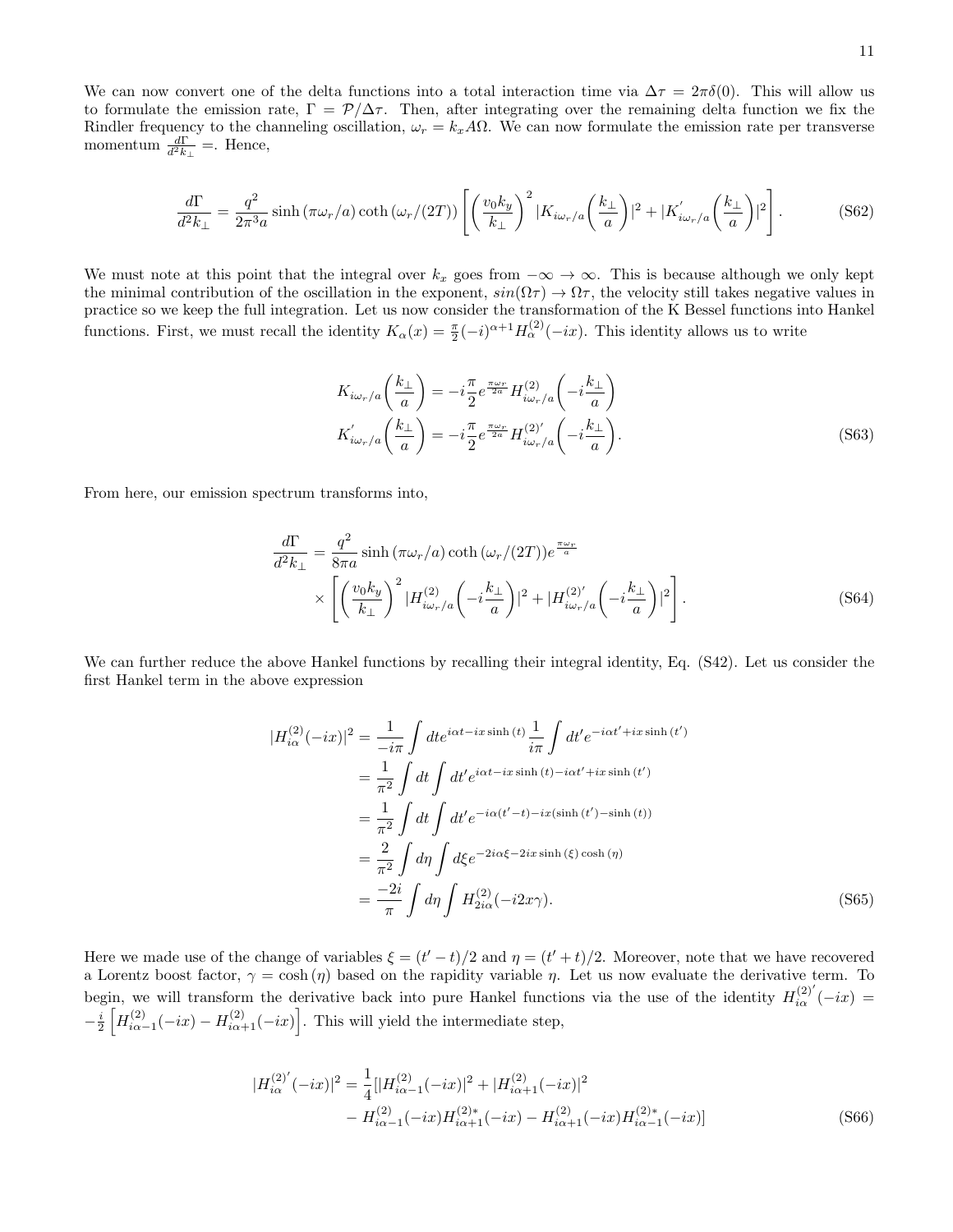$$
\frac{d\Gamma}{d^2k_{\perp}} = \frac{q^2}{2\pi^3 a} \sinh\left(\pi\omega_r/a\right) \coth\left(\omega_r/(2T)\right) \left[ \left(\frac{v_0 k_y}{k_{\perp}}\right)^2 |K_{i\omega_r/a}\left(\frac{k_{\perp}}{a}\right)|^2 + |K'_{i\omega_r/a}\left(\frac{k_{\perp}}{a}\right)|^2 \right].
$$
 (S62)

We must note at this point that the integral over  $k_x$  goes from  $-\infty \to \infty$ . This is because although we only kept the minimal contribution of the oscillation in the exponent,  $sin(\Omega \tau) \rightarrow \Omega \tau$ , the velocity still takes negative values in practice so we keep the full integration. Let us now consider the transformation of the K Bessel functions into Hankel functions. First, we must recall the identity  $K_{\alpha}(x) = \frac{\pi}{2}(-i)^{\alpha+1}H_{\alpha}^{(2)}(-ix)$ . This identity allows us to write

$$
K_{i\omega_r/a}\left(\frac{k_{\perp}}{a}\right) = -i\frac{\pi}{2}e^{\frac{\pi\omega_r}{2a}}H_{i\omega_r/a}^{(2)}\left(-i\frac{k_{\perp}}{a}\right)
$$

$$
K_{i\omega_r/a}'\left(\frac{k_{\perp}}{a}\right) = -i\frac{\pi}{2}e^{\frac{\pi\omega_r}{2a}}H_{i\omega_r/a}^{(2)'}\left(-i\frac{k_{\perp}}{a}\right).
$$
(S63)

From here, our emission spectrum transforms into,

$$
\frac{d\Gamma}{d^2k_{\perp}} = \frac{q^2}{8\pi a} \sinh\left(\pi\omega_r/a\right) \coth\left(\omega_r/(2T)\right) e^{\frac{\pi\omega_r}{a}}
$$
\n
$$
\times \left[ \left(\frac{v_0 k_y}{k_{\perp}}\right)^2 |H_{i\omega_r/a}^{(2)} \left(-i\frac{k_{\perp}}{a}\right)|^2 + |H_{i\omega_r/a}^{(2)'} \left(-i\frac{k_{\perp}}{a}\right)|^2 \right].
$$
\n(S64)

We can further reduce the above Hankel functions by recalling their integral identity, Eq. (S42). Let us consider the first Hankel term in the above expression

$$
|H_{i\alpha}^{(2)}(-ix)|^2 = \frac{1}{-i\pi} \int dt e^{i\alpha t - ix\sinh(t)} \frac{1}{i\pi} \int dt' e^{-i\alpha t' + ix\sinh(t')}
$$
  
\n
$$
= \frac{1}{\pi^2} \int dt \int dt' e^{i\alpha t - ix\sinh(t) - i\alpha t' + ix\sinh(t')}
$$
  
\n
$$
= \frac{1}{\pi^2} \int dt \int dt' e^{-i\alpha(t' - t) - ix(\sinh(t') - \sinh(t))}
$$
  
\n
$$
= \frac{2}{\pi^2} \int d\eta \int d\xi e^{-2i\alpha \xi - 2ix\sinh(\xi)\cosh(\eta)}
$$
  
\n
$$
= \frac{-2i}{\pi} \int d\eta \int H_{2i\alpha}^{(2)}(-i2x\gamma).
$$
 (S65)

Here we made use of the change of variables  $\xi = (t'-t)/2$  and  $\eta = (t'+t)/2$ . Moreover, note that we have recovered a Lorentz boost factor,  $\gamma = \cosh(\eta)$  based on the rapidity variable  $\eta$ . Let us now evaluate the derivative term. To begin, we will transform the derivative back into pure Hankel functions via the use of the identity  $H_{i\alpha}^{(2)'}(-ix)$  $-\frac{i}{2}\left[H_{i\alpha-1}^{(2)}(-ix)-H_{i\alpha+1}^{(2)}(-ix)\right]$ . This will yield the intermediate step,

$$
|H_{i\alpha}^{(2)'}(-ix)|^2 = \frac{1}{4} [|H_{i\alpha-1}^{(2)}(-ix)|^2 + |H_{i\alpha+1}^{(2)}(-ix)|^2
$$
  

$$
- H_{i\alpha-1}^{(2)}(-ix)H_{i\alpha+1}^{(2)*}(-ix) - H_{i\alpha+1}^{(2)}(-ix)H_{i\alpha-1}^{(2)*}(-ix)]
$$
(S66)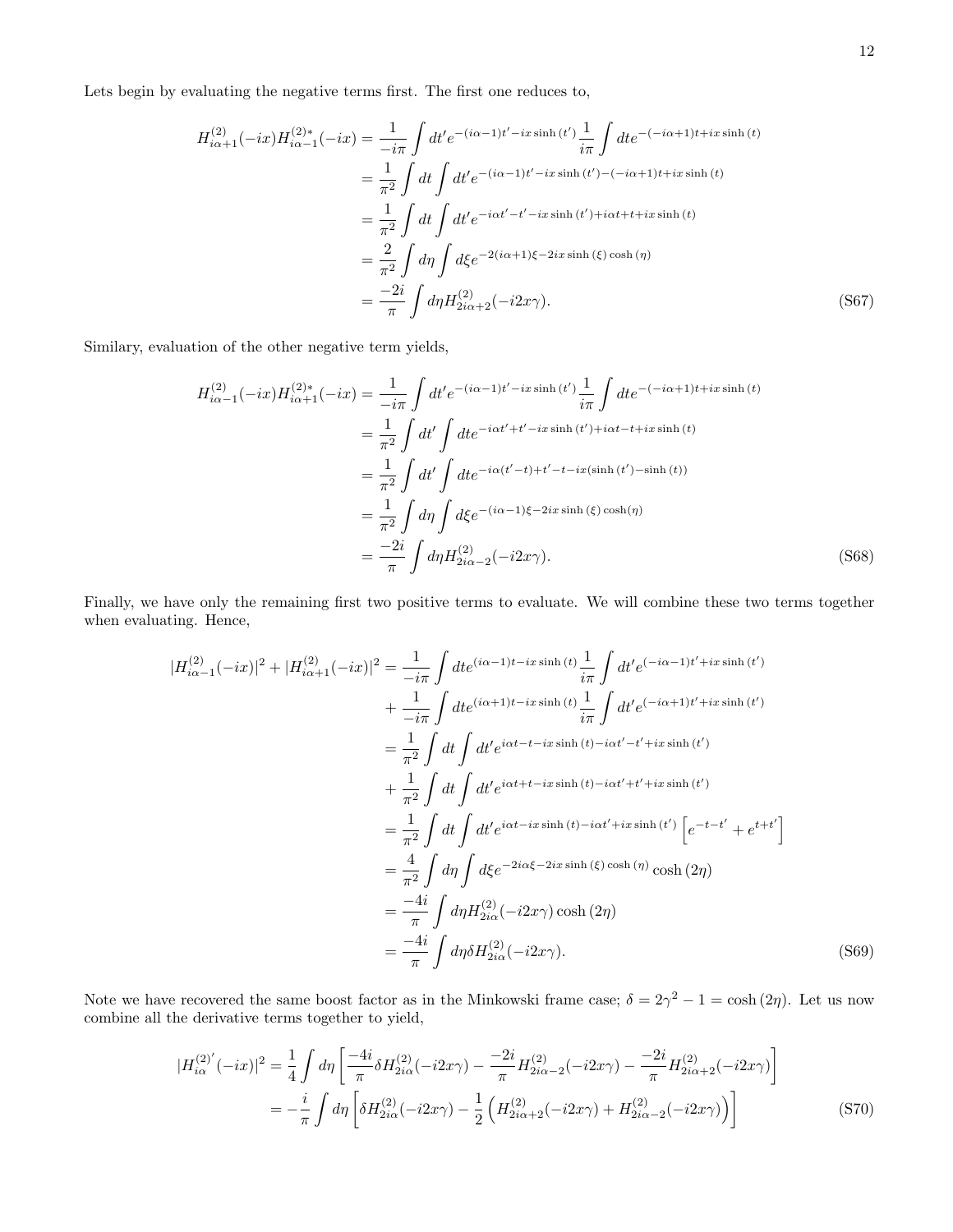Lets begin by evaluating the negative terms first. The first one reduces to,

$$
H_{i\alpha+1}^{(2)}(-ix)H_{i\alpha-1}^{(2)*}(-ix) = \frac{1}{-i\pi} \int dt' e^{-(i\alpha-1)t'-ix\sinh(t')} \frac{1}{i\pi} \int dt e^{-(-i\alpha+1)t+ix\sinh(t)}
$$
  
\n
$$
= \frac{1}{\pi^2} \int dt \int dt' e^{-(i\alpha-1)t'-ix\sinh(t')-(-i\alpha+1)t+ix\sinh(t)}
$$
  
\n
$$
= \frac{1}{\pi^2} \int dt \int dt' e^{-i\alpha t'-t'-ix\sinh(t')+i\alpha t+t+ix\sinh(t)}
$$
  
\n
$$
= \frac{2}{\pi^2} \int d\eta \int d\xi e^{-2(i\alpha+1)\xi-2ix\sinh(\xi)\cosh(\eta)}
$$
  
\n
$$
= \frac{-2i}{\pi} \int d\eta H_{2i\alpha+2}^{(2)}(-i2x\gamma).
$$
 (S67)

Similary, evaluation of the other negative term yields,

$$
H_{i\alpha-1}^{(2)}(-ix)H_{i\alpha+1}^{(2)*}(-ix) = \frac{1}{-i\pi} \int dt' e^{-(i\alpha-1)t'-ix\sinh(t')} \frac{1}{i\pi} \int dt e^{-(-i\alpha+1)t+ix\sinh(t)}
$$
  
\n
$$
= \frac{1}{\pi^2} \int dt' \int dt e^{-i\alpha t'+t'-ix\sinh(t')+i\alpha t-t+ix\sinh(t)}
$$
  
\n
$$
= \frac{1}{\pi^2} \int dt' \int dt e^{-i\alpha(t'-t)+t'-t-ix(\sinh(t')-\sinh(t))}
$$
  
\n
$$
= \frac{1}{\pi^2} \int d\eta \int d\xi e^{-(i\alpha-1)\xi-2ix\sinh(\xi)\cosh(\eta)}
$$
  
\n
$$
= \frac{-2i}{\pi} \int d\eta H_{2i\alpha-2}^{(2)}(-i2x\gamma).
$$
 (S68)

Finally, we have only the remaining first two positive terms to evaluate. We will combine these two terms together when evaluating. Hence,

$$
|H_{i\alpha-1}^{(2)}(-ix)|^{2} + |H_{i\alpha+1}^{(2)}(-ix)|^{2} = \frac{1}{-i\pi} \int dt e^{(i\alpha-1)t - ix\sinh(t)} \frac{1}{i\pi} \int dt' e^{(-i\alpha-1)t' + ix\sinh(t')}
$$
  
\n
$$
+ \frac{1}{-i\pi} \int dt e^{(i\alpha+1)t - ix\sinh(t)} \frac{1}{i\pi} \int dt' e^{(-i\alpha+1)t' + ix\sinh(t')}
$$
  
\n
$$
= \frac{1}{\pi^{2}} \int dt \int dt' e^{i\alpha t - t - ix\sinh(t) - i\alpha t' - t' + ix\sinh(t')}
$$
  
\n
$$
+ \frac{1}{\pi^{2}} \int dt \int dt' e^{i\alpha t + t - ix\sinh(t) - i\alpha t' + t' + ix\sinh(t')}
$$
  
\n
$$
= \frac{1}{\pi^{2}} \int dt \int dt' e^{i\alpha t - ix\sinh(t) - i\alpha t' + ix\sinh(t')} \left[ e^{-t - t'} + e^{t + t'} \right]
$$
  
\n
$$
= \frac{4}{\pi^{2}} \int d\eta \int d\xi e^{-2i\alpha \xi - 2ix\sinh(\xi)\cosh(\eta)} \cosh(2\eta)
$$
  
\n
$$
= \frac{-4i}{\pi} \int d\eta H_{2i\alpha}^{(2)}(-i2x\gamma) \cosh(2\eta)
$$
  
\n
$$
= \frac{-4i}{\pi} \int d\eta \delta H_{2i\alpha}^{(2)}(-i2x\gamma).
$$
 (S69)

Note we have recovered the same boost factor as in the Minkowski frame case;  $\delta = 2\gamma^2 - 1 = \cosh(2\eta)$ . Let us now combine all the derivative terms together to yield,

$$
|H_{i\alpha}^{(2)'}(-ix)|^2 = \frac{1}{4} \int d\eta \left[ \frac{-4i}{\pi} \delta H_{2i\alpha}^{(2)}(-i2x\gamma) - \frac{-2i}{\pi} H_{2i\alpha-2}^{(2)}(-i2x\gamma) - \frac{-2i}{\pi} H_{2i\alpha+2}^{(2)}(-i2x\gamma) \right]
$$
  

$$
= -\frac{i}{\pi} \int d\eta \left[ \delta H_{2i\alpha}^{(2)}(-i2x\gamma) - \frac{1}{2} \left( H_{2i\alpha+2}^{(2)}(-i2x\gamma) + H_{2i\alpha-2}^{(2)}(-i2x\gamma) \right) \right]
$$
(S70)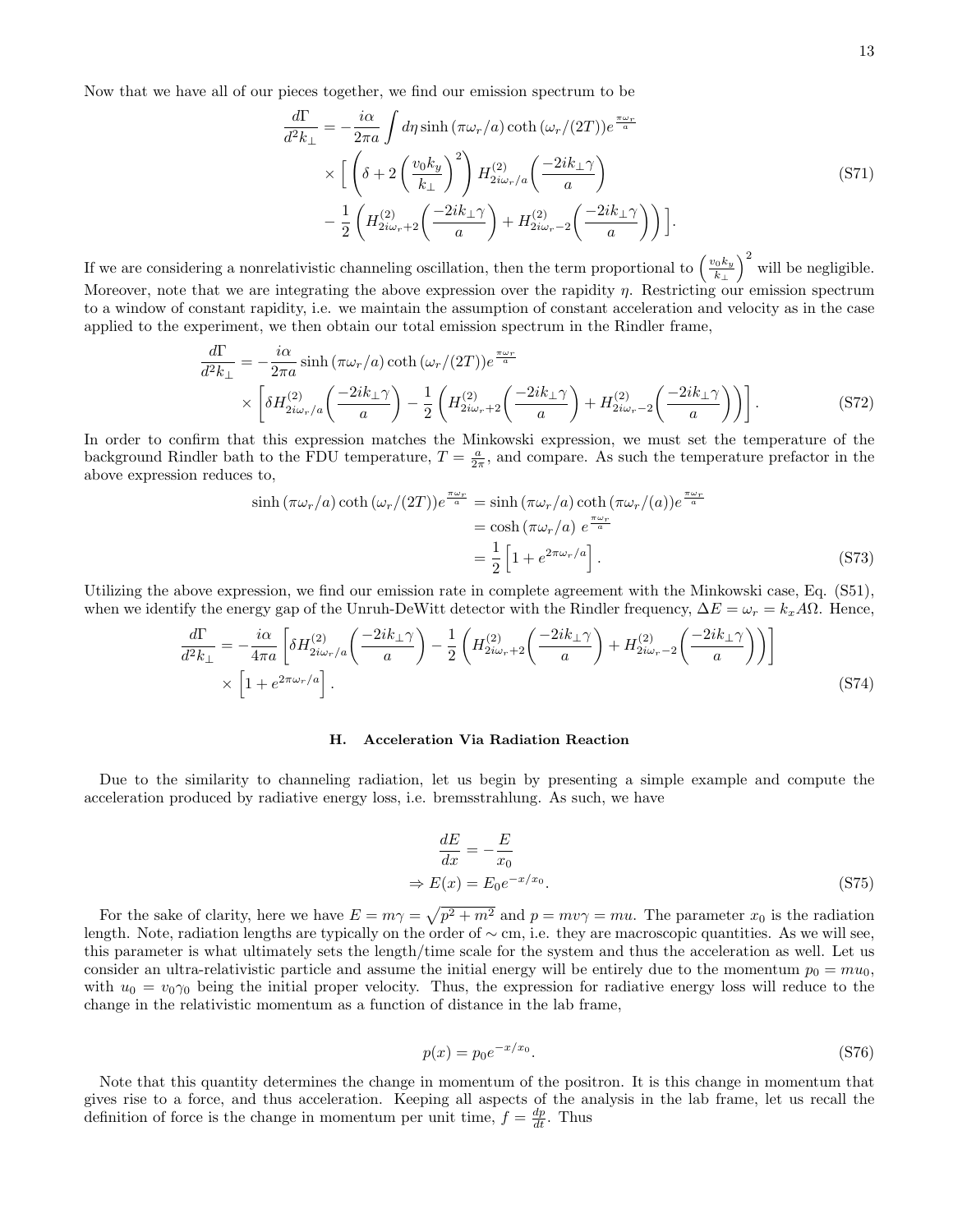Now that we have all of our pieces together, we find our emission spectrum to be

$$
\frac{d\Gamma}{d^2 k_{\perp}} = -\frac{i\alpha}{2\pi a} \int d\eta \sinh(\pi \omega_r/a) \coth(\omega_r/(2T)) e^{\frac{\pi \omega_r}{a}}
$$
\n
$$
\times \left[ \left( \delta + 2\left(\frac{v_0 k_y}{k_{\perp}}\right)^2 \right) H_{2i\omega_r/a}^{(2)} \left(\frac{-2ik_{\perp} \gamma}{a}\right) - \frac{1}{2} \left( H_{2i\omega_r+2}^{(2)} \left(\frac{-2ik_{\perp} \gamma}{a}\right) + H_{2i\omega_r-2}^{(2)} \left(\frac{-2ik_{\perp} \gamma}{a}\right) \right) \right].
$$
\n(S71)

If we are considering a nonrelativistic channeling oscillation, then the term proportional to  $\left(\frac{v_0 k_y}{k}\right)$  $\left(\frac{v_0 k_y}{k_\perp}\right)^2$  will be negligible. Moreover, note that we are integrating the above expression over the rapidity  $\eta$ . Restricting our emission spectrum to a window of constant rapidity, i.e. we maintain the assumption of constant acceleration and velocity as in the case applied to the experiment, we then obtain our total emission spectrum in the Rindler frame,

$$
\frac{d\Gamma}{d^2k_{\perp}} = -\frac{i\alpha}{2\pi a} \sinh\left(\pi\omega_r/a\right) \coth\left(\omega_r/(2T)\right) e^{\frac{\pi\omega_r}{a}}
$$
\n
$$
\times \left[ \delta H_{2i\omega_r/a}^{(2)} \left(\frac{-2ik_{\perp}\gamma}{a}\right) - \frac{1}{2} \left(H_{2i\omega_r+2}^{(2)} \left(\frac{-2ik_{\perp}\gamma}{a}\right) + H_{2i\omega_r-2}^{(2)} \left(\frac{-2ik_{\perp}\gamma}{a}\right) \right) \right].
$$
\n(S72)

In order to confirm that this expression matches the Minkowski expression, we must set the temperature of the background Rindler bath to the FDU temperature,  $T = \frac{a}{2\pi}$ , and compare. As such the temperature prefactor in the above expression reduces to,

$$
\sinh\left(\pi\omega_r/a\right)\coth\left(\omega_r/(2T)\right)e^{\frac{\pi\omega_r}{a}} = \sinh\left(\pi\omega_r/a\right)\coth\left(\pi\omega_r/(a)\right)e^{\frac{\pi\omega_r}{a}}
$$
\n
$$
= \cosh\left(\pi\omega_r/a\right)e^{\frac{\pi\omega_r}{a}}
$$
\n
$$
= \frac{1}{2}\left[1 + e^{2\pi\omega_r/a}\right].\tag{S73}
$$

Utilizing the above expression, we find our emission rate in complete agreement with the Minkowski case, Eq. (S51), when we identify the energy gap of the Unruh-DeWitt detector with the Rindler frequency,  $\Delta E = \omega_r = k_x A \Omega$ . Hence,

$$
\frac{d\Gamma}{d^2k_{\perp}} = -\frac{i\alpha}{4\pi a} \left[ \delta H_{2i\omega_r/a}^{(2)} \left( \frac{-2ik_{\perp}\gamma}{a} \right) - \frac{1}{2} \left( H_{2i\omega_r+2}^{(2)} \left( \frac{-2ik_{\perp}\gamma}{a} \right) + H_{2i\omega_r-2}^{(2)} \left( \frac{-2ik_{\perp}\gamma}{a} \right) \right) \right] \times \left[ 1 + e^{2\pi\omega_r/a} \right].
$$
\n(S74)

#### H. Acceleration Via Radiation Reaction

Due to the similarity to channeling radiation, let us begin by presenting a simple example and compute the acceleration produced by radiative energy loss, i.e. bremsstrahlung. As such, we have

$$
\frac{dE}{dx} = -\frac{E}{x_0}
$$
\n
$$
\Rightarrow E(x) = E_0 e^{-x/x_0}.
$$
\n(S75)

For the sake of clarity, here we have  $E = m\gamma = \sqrt{p^2 + m^2}$  and  $p = mv\gamma = mu$ . The parameter  $x_0$  is the radiation length. Note, radiation lengths are typically on the order of ∼ cm, i.e. they are macroscopic quantities. As we will see, this parameter is what ultimately sets the length/time scale for the system and thus the acceleration as well. Let us consider an ultra-relativistic particle and assume the initial energy will be entirely due to the momentum  $p_0 = m u_0$ , with  $u_0 = v_0 \gamma_0$  being the initial proper velocity. Thus, the expression for radiative energy loss will reduce to the change in the relativistic momentum as a function of distance in the lab frame,

$$
p(x) = p_0 e^{-x/x_0}.
$$
 (S76)

Note that this quantity determines the change in momentum of the positron. It is this change in momentum that gives rise to a force, and thus acceleration. Keeping all aspects of the analysis in the lab frame, let us recall the definition of force is the change in momentum per unit time,  $f = \frac{dp}{dt}$ . Thus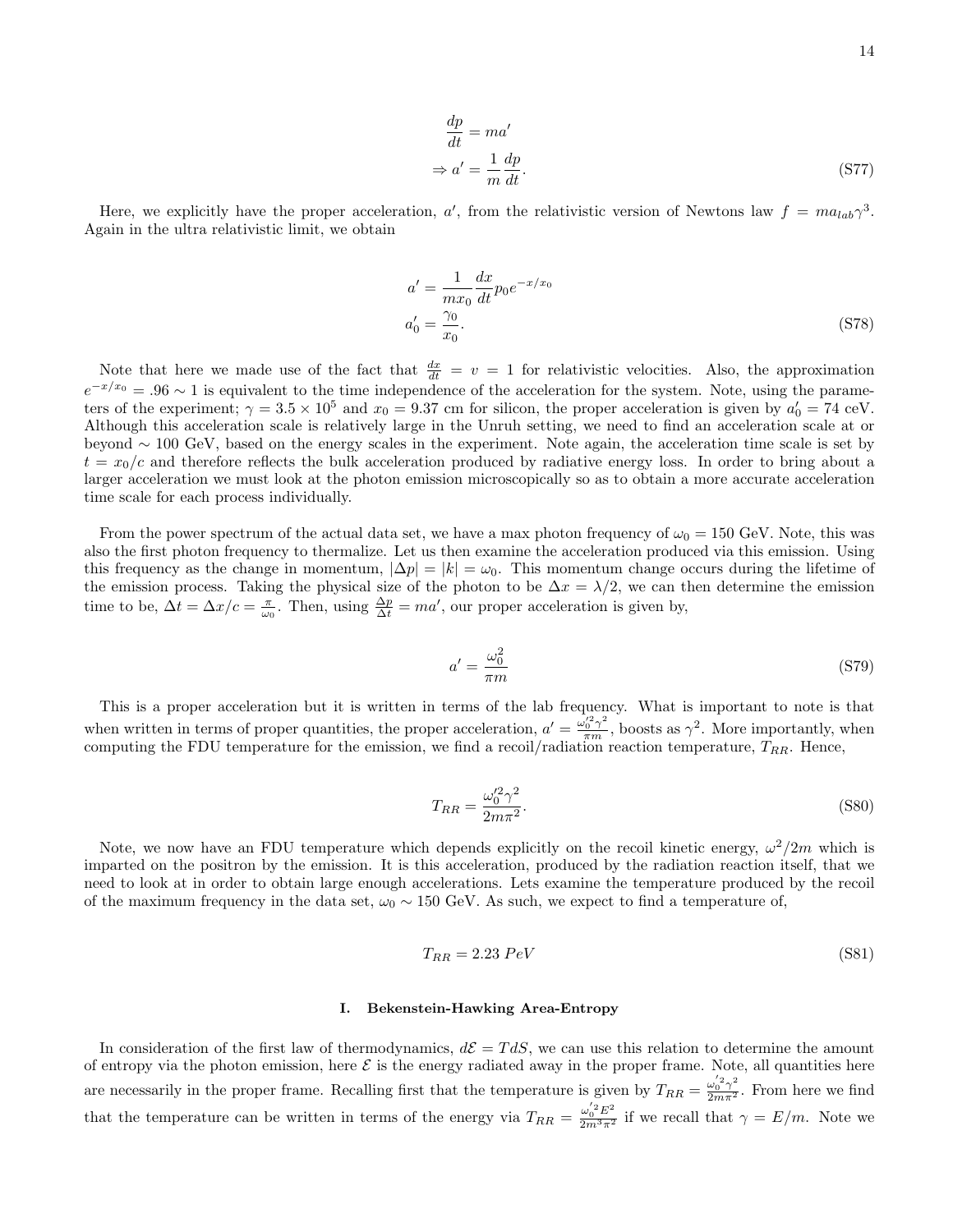$$
\frac{dp}{dt} = ma'
$$
\n
$$
\Rightarrow a' = \frac{1}{m}\frac{dp}{dt}.
$$
\n(S77)

Here, we explicitly have the proper acceleration, a', from the relativistic version of Newtons law  $f = ma_{lab}\gamma^3$ . Again in the ultra relativistic limit, we obtain

$$
a' = \frac{1}{mx_0} \frac{dx}{dt} p_0 e^{-x/x_0}
$$
  
\n
$$
a'_0 = \frac{\gamma_0}{x_0}.
$$
\n(S78)

Note that here we made use of the fact that  $\frac{dx}{dt} = v = 1$  for relativistic velocities. Also, the approximation  $e^{-x/x_0} = .96 \sim 1$  is equivalent to the time independence of the acceleration for the system. Note, using the parameters of the experiment;  $\gamma = 3.5 \times 10^5$  and  $x_0 = 9.37$  cm for silicon, the proper acceleration is given by  $a'_0 = 74$  ceV. Although this acceleration scale is relatively large in the Unruh setting, we need to find an acceleration scale at or beyond ∼ 100 GeV, based on the energy scales in the experiment. Note again, the acceleration time scale is set by  $t = x_0/c$  and therefore reflects the bulk acceleration produced by radiative energy loss. In order to bring about a larger acceleration we must look at the photon emission microscopically so as to obtain a more accurate acceleration time scale for each process individually.

From the power spectrum of the actual data set, we have a max photon frequency of  $\omega_0 = 150$  GeV. Note, this was also the first photon frequency to thermalize. Let us then examine the acceleration produced via this emission. Using this frequency as the change in momentum,  $|\Delta p| = |k| = \omega_0$ . This momentum change occurs during the lifetime of the emission process. Taking the physical size of the photon to be  $\Delta x = \lambda/2$ , we can then determine the emission time to be,  $\Delta t = \Delta x/c = \frac{\pi}{\omega_0}$ . Then, using  $\frac{\Delta p}{\Delta t} = ma'$ , our proper acceleration is given by,

$$
a' = \frac{\omega_0^2}{\pi m} \tag{S79}
$$

This is a proper acceleration but it is written in terms of the lab frequency. What is important to note is that when written in terms of proper quantities, the proper acceleration,  $a' = \frac{\omega_0'^2 \gamma^2}{\pi m}$ , boosts as  $\gamma^2$ . More importantly, when computing the FDU temperature for the emission, we find a recoil/radiation reaction temperature,  $T_{RR}$ . Hence,

$$
T_{RR} = \frac{\omega_0^{\prime 2} \gamma^2}{2m\pi^2}.
$$
\n<sup>(S80)</sup>

Note, we now have an FDU temperature which depends explicitly on the recoil kinetic energy,  $\omega^2/2m$  which is imparted on the positron by the emission. It is this acceleration, produced by the radiation reaction itself, that we need to look at in order to obtain large enough accelerations. Lets examine the temperature produced by the recoil of the maximum frequency in the data set,  $\omega_0 \sim 150$  GeV. As such, we expect to find a temperature of,

$$
T_{RR} = 2.23 \, PeV \tag{S81}
$$

#### I. Bekenstein-Hawking Area-Entropy

In consideration of the first law of thermodynamics,  $d\mathcal{E} = T dS$ , we can use this relation to determine the amount of entropy via the photon emission, here  $\mathcal E$  is the energy radiated away in the proper frame. Note, all quantities here are necessarily in the proper frame. Recalling first that the temperature is given by  $T_{RR} = \frac{\omega_0'^2 \gamma^2}{2m\pi^2}$ . From here we find that the temperature can be written in terms of the energy via  $T_{RR} = \frac{\omega_0^{'2} E^2}{2m^3 \pi^2}$  if we recall that  $\gamma = E/m$ . Note we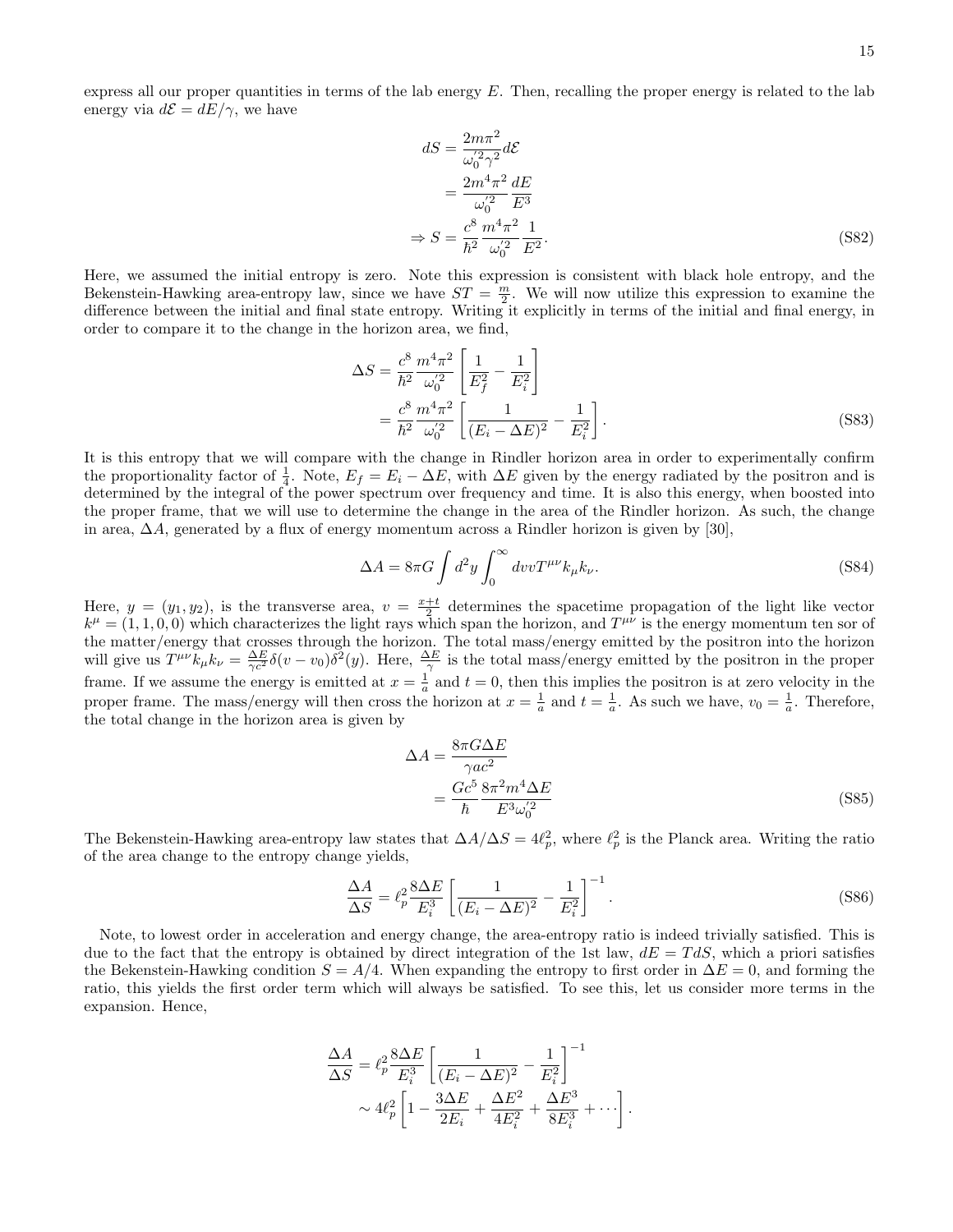express all our proper quantities in terms of the lab energy  $E$ . Then, recalling the proper energy is related to the lab energy via  $d\mathcal{E} = dE/\gamma$ , we have

$$
dS = \frac{2m\pi^2}{\omega_0^{'2}\gamma^2} d\mathcal{E}
$$
  
= 
$$
\frac{2m^4\pi^2}{\omega_0^{'2}} \frac{dE}{E^3}
$$
  

$$
\Rightarrow S = \frac{c^8}{\hbar^2} \frac{m^4\pi^2}{\omega_0^{'2}} \frac{1}{E^2}.
$$
 (S82)

Here, we assumed the initial entropy is zero. Note this expression is consistent with black hole entropy, and the Bekenstein-Hawking area-entropy law, since we have  $ST = \frac{m}{2}$ . We will now utilize this expression to examine the difference between the initial and final state entropy. Writing it explicitly in terms of the initial and final energy, in order to compare it to the change in the horizon area, we find,

$$
\Delta S = \frac{c^8}{\hbar^2} \frac{m^4 \pi^2}{\omega_0^{'2}} \left[ \frac{1}{E_f^2} - \frac{1}{E_i^2} \right] \n= \frac{c^8}{\hbar^2} \frac{m^4 \pi^2}{\omega_0^{'2}} \left[ \frac{1}{(E_i - \Delta E)^2} - \frac{1}{E_i^2} \right].
$$
\n(S83)

It is this entropy that we will compare with the change in Rindler horizon area in order to experimentally confirm the proportionality factor of  $\frac{1}{4}$ . Note,  $E_f = E_i - \Delta E$ , with  $\Delta E$  given by the energy radiated by the positron and is determined by the integral of the power spectrum over frequency and time. It is also this energy, when boosted into the proper frame, that we will use to determine the change in the area of the Rindler horizon. As such, the change in area,  $\Delta A$ , generated by a flux of energy momentum across a Rindler horizon is given by [30],

$$
\Delta A = 8\pi G \int d^2 y \int_0^\infty dv v T^{\mu\nu} k_\mu k_\nu.
$$
\n(S84)

Here,  $y = (y_1, y_2)$ , is the transverse area,  $v = \frac{x+t}{2}$  determines the spacetime propagation of the light like vector  $k^{\mu} = (1, 1, 0, 0)$  which characterizes the light rays which span the horizon, and  $T^{\mu\nu}$  is the energy momentum ten sor of the matter/energy that crosses through the horizon. The total mass/energy emitted by the positron into the horizon will give us  $T^{\mu\nu}\dot{k}_{\mu}k_{\nu} = \frac{\Delta E}{\gamma c^2}\delta(v-v_0)\delta^2(y)$ . Here,  $\frac{\Delta E}{\gamma}$  is the total mass/energy emitted by the positron in the proper frame. If we assume the energy is emitted at  $x=\frac{1}{a}$  and  $t=0$ , then this implies the positron is at zero velocity in the proper frame. The mass/energy will then cross the horizon at  $x = \frac{1}{a}$  and  $t = \frac{1}{a}$ . As such we have,  $v_0 = \frac{1}{a}$ . Therefore, the total change in the horizon area is given by

$$
\Delta A = \frac{8\pi G \Delta E}{\gamma ac^2}
$$
  
= 
$$
\frac{Gc^5}{\hbar} \frac{8\pi^2 m^4 \Delta E}{E^3 \omega_0^{'2}}
$$
 (S85)

The Bekenstein-Hawking area-entropy law states that  $\Delta A/\Delta S = 4\ell_p^2$ , where  $\ell_p^2$  is the Planck area. Writing the ratio of the area change to the entropy change yields,

$$
\frac{\Delta A}{\Delta S} = \ell_p^2 \frac{8\Delta E}{E_i^3} \left[ \frac{1}{(E_i - \Delta E)^2} - \frac{1}{E_i^2} \right]^{-1}.
$$
\n(S86)

Note, to lowest order in acceleration and energy change, the area-entropy ratio is indeed trivially satisfied. This is due to the fact that the entropy is obtained by direct integration of the 1st law,  $dE = T dS$ , which a priori satisfies the Bekenstein-Hawking condition  $S = A/4$ . When expanding the entropy to first order in  $\Delta E = 0$ , and forming the ratio, this yields the first order term which will always be satisfied. To see this, let us consider more terms in the expansion. Hence,

$$
\frac{\Delta A}{\Delta S} = \ell_p^2 \frac{8\Delta E}{E_i^3} \left[ \frac{1}{(E_i - \Delta E)^2} - \frac{1}{E_i^2} \right]^{-1} \sim 4\ell_p^2 \left[ 1 - \frac{3\Delta E}{2E_i} + \frac{\Delta E^2}{4E_i^2} + \frac{\Delta E^3}{8E_i^3} + \cdots \right].
$$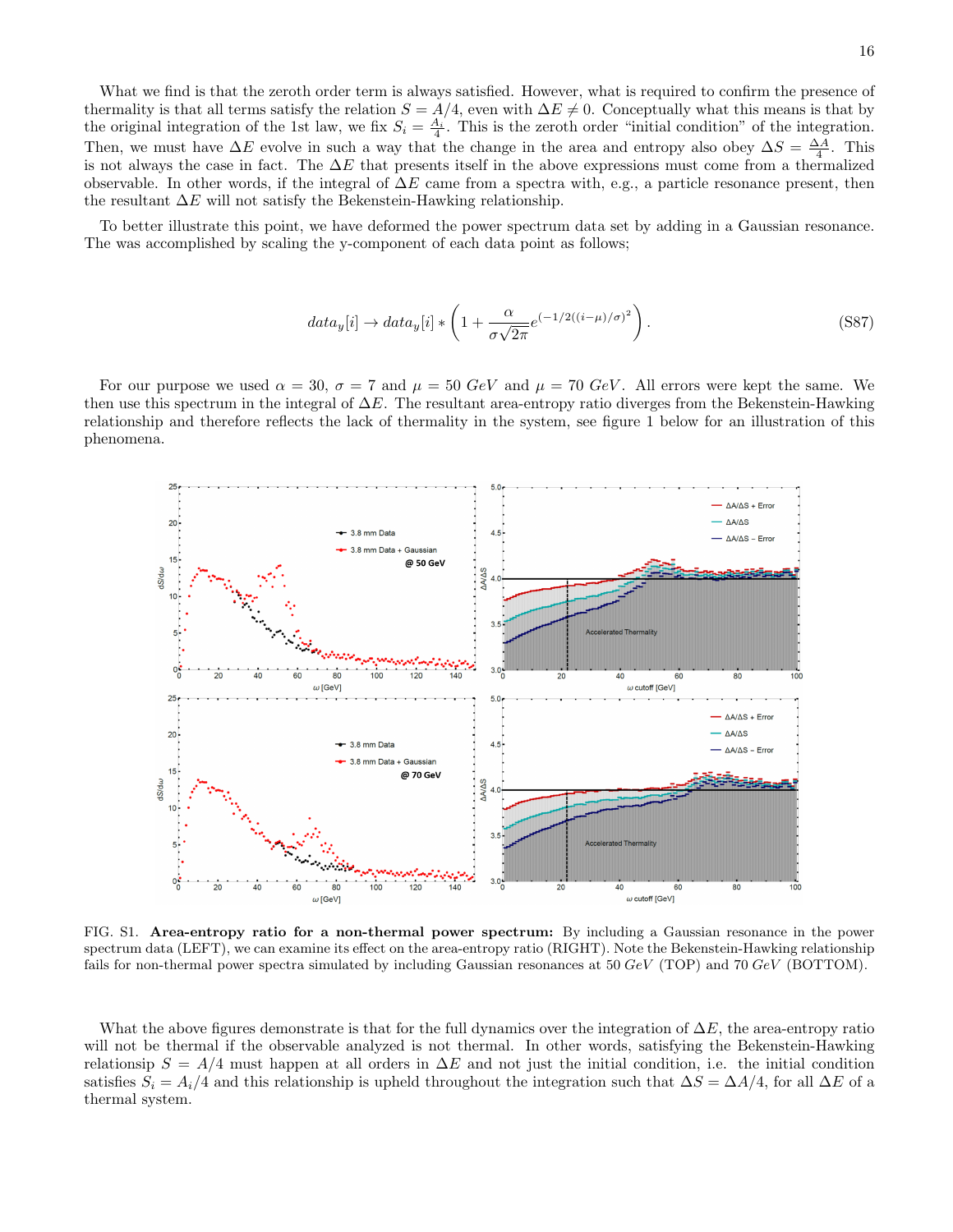What we find is that the zeroth order term is always satisfied. However, what is required to confirm the presence of thermality is that all terms satisfy the relation  $S = A/4$ , even with  $\Delta E \neq 0$ . Conceptually what this means is that by the original integration of the 1st law, we fix  $S_i = \frac{A_i}{4}$ . This is the zeroth order "initial condition" of the integration. Then, we must have  $\Delta E$  evolve in such a way that the change in the area and entropy also obey  $\Delta S = \frac{\Delta A}{4}$ . This is not always the case in fact. The  $\Delta E$  that presents itself in the above expressions must come from a thermalized observable. In other words, if the integral of  $\Delta E$  came from a spectra with, e.g., a particle resonance present, then the resultant  $\Delta E$  will not satisfy the Bekenstein-Hawking relationship.

To better illustrate this point, we have deformed the power spectrum data set by adding in a Gaussian resonance. The was accomplished by scaling the y-component of each data point as follows;

$$
data_y[i] \rightarrow data_y[i] * \left(1 + \frac{\alpha}{\sigma\sqrt{2\pi}}e^{(-1/2((i-\mu)/\sigma)^2)}\right). \tag{S87}
$$

For our purpose we used  $\alpha = 30$ ,  $\sigma = 7$  and  $\mu = 50$  GeV and  $\mu = 70$  GeV. All errors were kept the same. We then use this spectrum in the integral of  $\Delta E$ . The resultant area-entropy ratio diverges from the Bekenstein-Hawking relationship and therefore reflects the lack of thermality in the system, see figure 1 below for an illustration of this phenomena.



FIG. S1. Area-entropy ratio for a non-thermal power spectrum: By including a Gaussian resonance in the power spectrum data (LEFT), we can examine its effect on the area-entropy ratio (RIGHT). Note the Bekenstein-Hawking relationship fails for non-thermal power spectra simulated by including Gaussian resonances at 50 GeV (TOP) and 70 GeV (BOTTOM).

What the above figures demonstrate is that for the full dynamics over the integration of  $\Delta E$ , the area-entropy ratio will not be thermal if the observable analyzed is not thermal. In other words, satisfying the Bekenstein-Hawking relationsip  $S = A/4$  must happen at all orders in  $\Delta E$  and not just the initial condition, i.e. the initial condition satisfies  $S_i = A_i/4$  and this relationship is upheld throughout the integration such that  $\Delta S = \Delta A/4$ , for all  $\Delta E$  of a thermal system.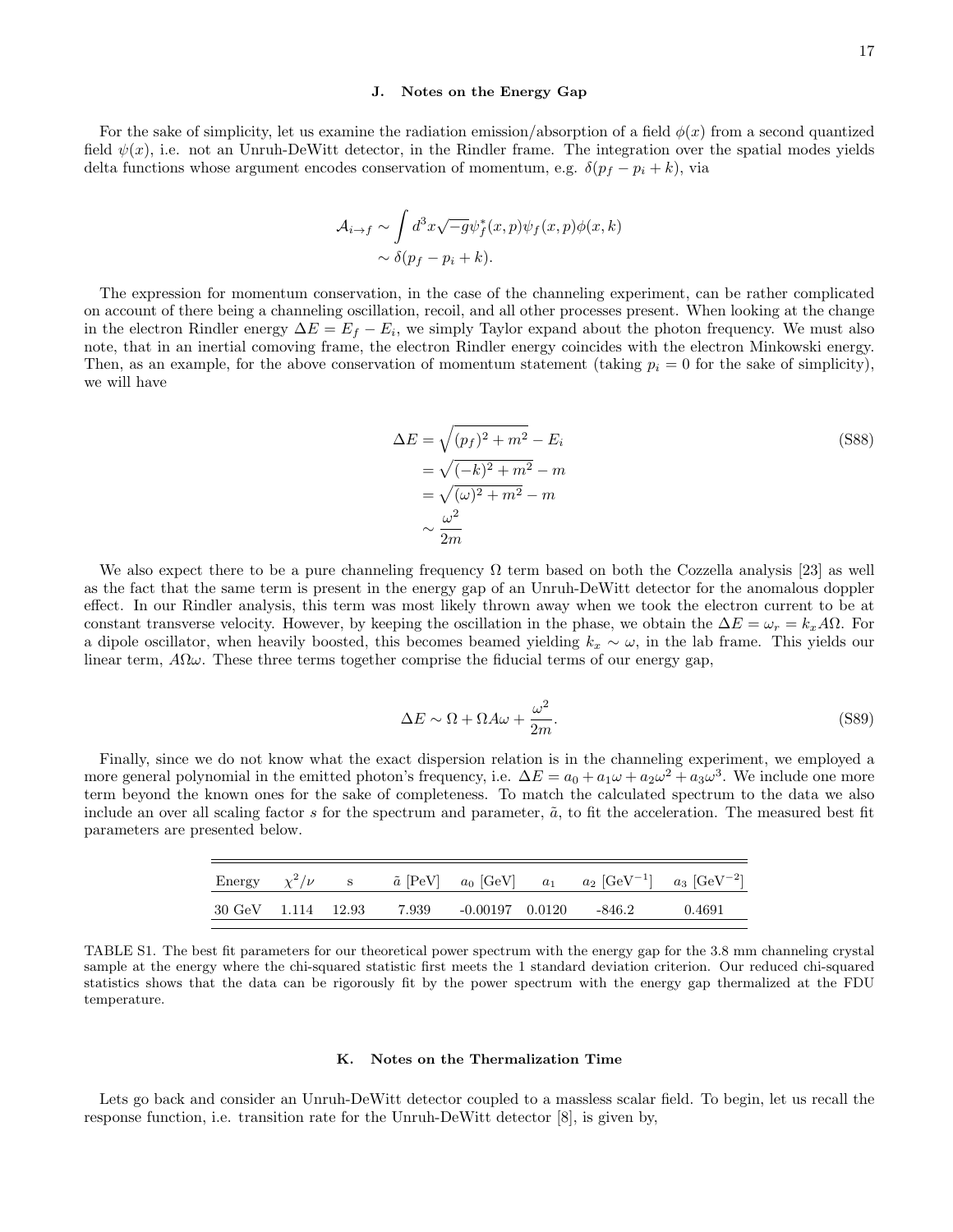#### J. Notes on the Energy Gap

For the sake of simplicity, let us examine the radiation emission/absorption of a field  $\phi(x)$  from a second quantized field  $\psi(x)$ , i.e. not an Unruh-DeWitt detector, in the Rindler frame. The integration over the spatial modes yields delta functions whose argument encodes conservation of momentum, e.g.  $\delta(p_f - p_i + k)$ , via

$$
\mathcal{A}_{i \to f} \sim \int d^3x \sqrt{-g} \psi_f^*(x, p) \psi_f(x, p) \phi(x, k)
$$

$$
\sim \delta(p_f - p_i + k).
$$

The expression for momentum conservation, in the case of the channeling experiment, can be rather complicated on account of there being a channeling oscillation, recoil, and all other processes present. When looking at the change in the electron Rindler energy  $\Delta E = E_f - E_i$ , we simply Taylor expand about the photon frequency. We must also note, that in an inertial comoving frame, the electron Rindler energy coincides with the electron Minkowski energy. Then, as an example, for the above conservation of momentum statement (taking  $p_i = 0$  for the sake of simplicity), we will have

$$
\Delta E = \sqrt{(p_f)^2 + m^2} - E_i
$$
  
=  $\sqrt{(-k)^2 + m^2} - m$   
=  $\sqrt{(\omega)^2 + m^2} - m$   
 $\sim \frac{\omega^2}{2m}$  (S88)

We also expect there to be a pure channeling frequency  $\Omega$  term based on both the Cozzella analysis [23] as well as the fact that the same term is present in the energy gap of an Unruh-DeWitt detector for the anomalous doppler effect. In our Rindler analysis, this term was most likely thrown away when we took the electron current to be at constant transverse velocity. However, by keeping the oscillation in the phase, we obtain the  $\Delta E = \omega_r = k_x A \Omega$ . For a dipole oscillator, when heavily boosted, this becomes beamed yielding  $k_x \sim \omega$ , in the lab frame. This yields our linear term,  $A\Omega\omega$ . These three terms together comprise the fiducial terms of our energy gap,

$$
\Delta E \sim \Omega + \Omega A \omega + \frac{\omega^2}{2m}.\tag{S89}
$$

Finally, since we do not know what the exact dispersion relation is in the channeling experiment, we employed a more general polynomial in the emitted photon's frequency, i.e.  $\Delta E = a_0 + a_1 \omega + a_2 \omega^2 + a_3 \omega^3$ . We include one more term beyond the known ones for the sake of completeness. To match the calculated spectrum to the data we also include an over all scaling factor s for the spectrum and parameter,  $\tilde{a}$ , to fit the acceleration. The measured best fit parameters are presented below.

|                    |  |  | Energy $\chi^2/\nu$ s $\tilde{a}$ [PeV] $a_0$ [GeV] $a_1$ $a_2$ [GeV <sup>-1</sup> ] $a_3$ [GeV <sup>-2</sup> ] |        |
|--------------------|--|--|-----------------------------------------------------------------------------------------------------------------|--------|
| 30 GeV 1.114 12.93 |  |  | -846.2                                                                                                          | 0.4691 |

TABLE S1. The best fit parameters for our theoretical power spectrum with the energy gap for the 3.8 mm channeling crystal sample at the energy where the chi-squared statistic first meets the 1 standard deviation criterion. Our reduced chi-squared statistics shows that the data can be rigorously fit by the power spectrum with the energy gap thermalized at the FDU temperature.

#### K. Notes on the Thermalization Time

Lets go back and consider an Unruh-DeWitt detector coupled to a massless scalar field. To begin, let us recall the response function, i.e. transition rate for the Unruh-DeWitt detector [8], is given by,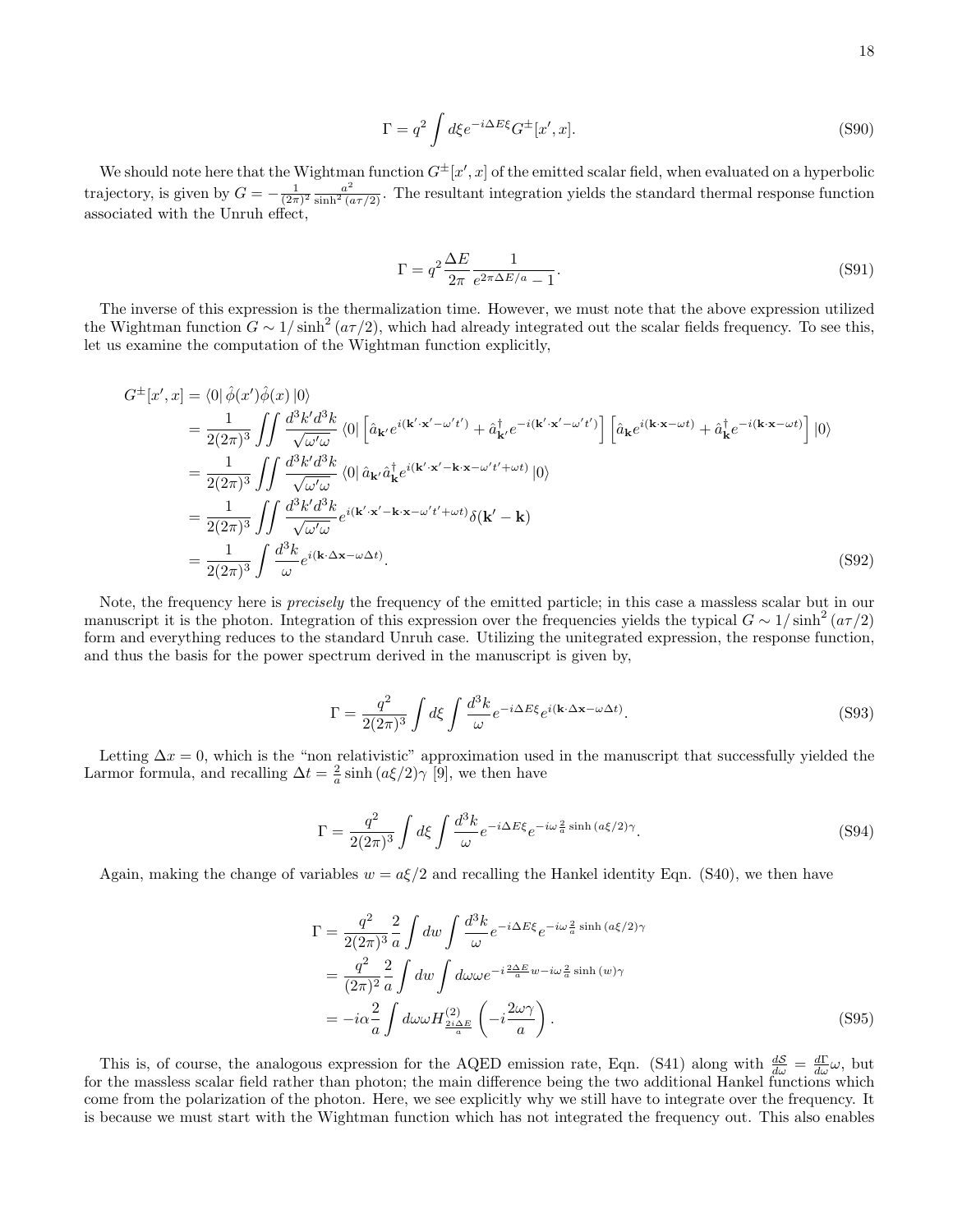$$
\Gamma = q^2 \int d\xi e^{-i\Delta E\xi} G^{\pm}[x',x].
$$
\n(S90)

We should note here that the Wightman function  $G^{\pm}[x',x]$  of the emitted scalar field, when evaluated on a hyperbolic trajectory, is given by  $G = -\frac{1}{(2\pi)^2} \frac{a^2}{\sinh^2(a\tau/2)}$ . The resultant integration yields the standard thermal response function associated with the Unruh effect,

$$
\Gamma = q^2 \frac{\Delta E}{2\pi} \frac{1}{e^{2\pi \Delta E/a} - 1}.
$$
\n(S91)

The inverse of this expression is the thermalization time. However, we must note that the above expression utilized the Wightman function  $G \sim 1/\sinh^2(a\tau/2)$ , which had already integrated out the scalar fields frequency. To see this, let us examine the computation of the Wightman function explicitly,

$$
G^{\pm}[x',x] = \langle 0|\hat{\phi}(x')\hat{\phi}(x)|0\rangle
$$
  
\n
$$
= \frac{1}{2(2\pi)^3} \iint \frac{d^3k'd^3k}{\sqrt{\omega'\omega}} \langle 0|\left[\hat{a}_{\mathbf{k}'}e^{i(\mathbf{k}'\cdot\mathbf{x}'-\omega't')} + \hat{a}_{\mathbf{k}'}^{\dagger}e^{-i(\mathbf{k}'\cdot\mathbf{x}'-\omega't')} \right] \left[\hat{a}_{\mathbf{k}}e^{i(\mathbf{k}\cdot\mathbf{x}-\omega t)} + \hat{a}_{\mathbf{k}}^{\dagger}e^{-i(\mathbf{k}\cdot\mathbf{x}-\omega t)}\right] |0\rangle
$$
  
\n
$$
= \frac{1}{2(2\pi)^3} \iint \frac{d^3k'd^3k}{\sqrt{\omega'\omega}} \langle 0|\hat{a}_{\mathbf{k}'}\hat{a}_{\mathbf{k}}^{\dagger}e^{i(\mathbf{k}'\cdot\mathbf{x}'-\mathbf{k}\cdot\mathbf{x}-\omega't'+\omega t)}|0\rangle
$$
  
\n
$$
= \frac{1}{2(2\pi)^3} \iint \frac{d^3k'd^3k}{\sqrt{\omega'\omega}} e^{i(\mathbf{k}'\cdot\mathbf{x}'-\mathbf{k}\cdot\mathbf{x}-\omega't'+\omega t)} \delta(\mathbf{k}'-\mathbf{k})
$$
  
\n
$$
= \frac{1}{2(2\pi)^3} \int \frac{d^3k}{\omega} e^{i(\mathbf{k}\cdot\Delta\mathbf{x}-\omega\Delta t)}.
$$
 (S92)

Note, the frequency here is precisely the frequency of the emitted particle; in this case a massless scalar but in our manuscript it is the photon. Integration of this expression over the frequencies yields the typical  $G \sim 1/\sinh^2(a\tau/2)$ form and everything reduces to the standard Unruh case. Utilizing the unitegrated expression, the response function, and thus the basis for the power spectrum derived in the manuscript is given by,

$$
\Gamma = \frac{q^2}{2(2\pi)^3} \int d\xi \int \frac{d^3k}{\omega} e^{-i\Delta E \xi} e^{i(\mathbf{k} \cdot \Delta \mathbf{x} - \omega \Delta t)}.
$$
\n(S93)

Letting  $\Delta x = 0$ , which is the "non relativistic" approximation used in the manuscript that successfully yielded the Larmor formula, and recalling  $\Delta t = \frac{2}{a} \sinh (a\xi/2)\gamma$  [9], we then have

$$
\Gamma = \frac{q^2}{2(2\pi)^3} \int d\xi \int \frac{d^3k}{\omega} e^{-i\Delta E \xi} e^{-i\omega \frac{2}{a} \sinh\left(a\xi/2\right)\gamma}.
$$
\n(S94)

Again, making the change of variables  $w = a\xi/2$  and recalling the Hankel identity Eqn. (S40), we then have

$$
\Gamma = \frac{q^2}{2(2\pi)^3} \frac{2}{a} \int dw \int \frac{d^3k}{\omega} e^{-i\Delta E\xi} e^{-i\omega \frac{2}{a} \sinh (a\xi/2)\gamma}
$$
  
= 
$$
\frac{q^2}{(2\pi)^2} \frac{2}{a} \int dw \int d\omega \omega e^{-i\frac{2\Delta E}{a}w - i\omega \frac{2}{a} \sinh (w)\gamma}
$$
  
= 
$$
-i\alpha \frac{2}{a} \int d\omega \omega H_{\frac{2i\Delta E}{a}}^{(2)} \left( -i\frac{2\omega\gamma}{a} \right).
$$
 (S95)

This is, of course, the analogous expression for the AQED emission rate, Eqn. (S41) along with  $\frac{dS}{d\omega} = \frac{d\Gamma}{d\omega}\omega$ , but for the massless scalar field rather than photon; the main difference being the two additional Hankel functions which come from the polarization of the photon. Here, we see explicitly why we still have to integrate over the frequency. It is because we must start with the Wightman function which has not integrated the frequency out. This also enables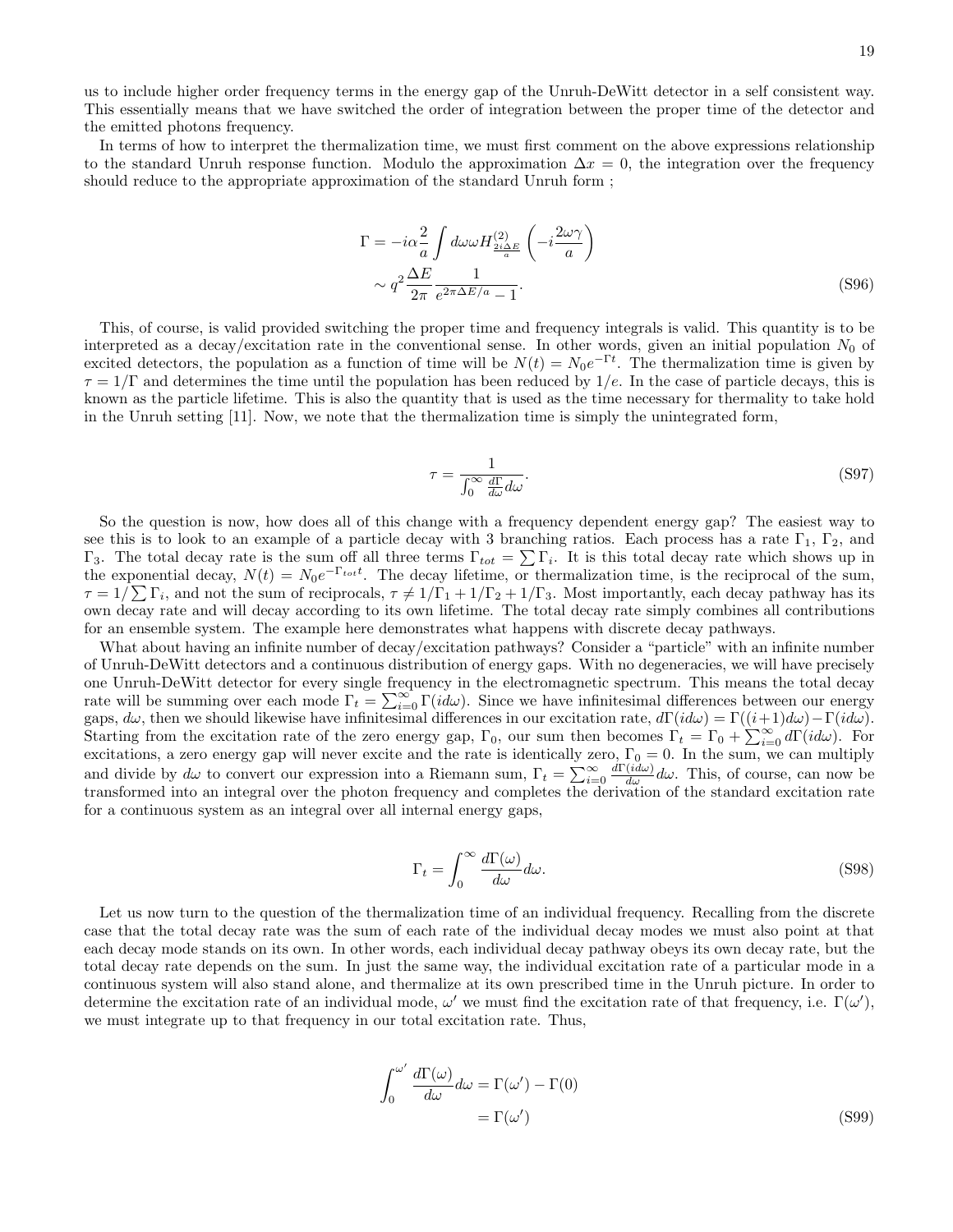us to include higher order frequency terms in the energy gap of the Unruh-DeWitt detector in a self consistent way. This essentially means that we have switched the order of integration between the proper time of the detector and the emitted photons frequency.

In terms of how to interpret the thermalization time, we must first comment on the above expressions relationship to the standard Unruh response function. Modulo the approximation  $\Delta x = 0$ , the integration over the frequency should reduce to the appropriate approximation of the standard Unruh form ;

$$
\Gamma = -i\alpha \frac{2}{a} \int d\omega \omega H_{\frac{2i\Delta E}{a}}^{(2)} \left( -i\frac{2\omega \gamma}{a} \right)
$$

$$
\sim q^2 \frac{\Delta E}{2\pi} \frac{1}{e^{2\pi \Delta E/a} - 1}.
$$
(S96)

This, of course, is valid provided switching the proper time and frequency integrals is valid. This quantity is to be interpreted as a decay/excitation rate in the conventional sense. In other words, given an initial population  $N_0$  of excited detectors, the population as a function of time will be  $N(t) = N_0 e^{-\Gamma t}$ . The thermalization time is given by  $\tau = 1/\Gamma$  and determines the time until the population has been reduced by 1/e. In the case of particle decays, this is known as the particle lifetime. This is also the quantity that is used as the time necessary for thermality to take hold in the Unruh setting [11]. Now, we note that the thermalization time is simply the unintegrated form,

$$
\tau = \frac{1}{\int_0^\infty \frac{d\Gamma}{d\omega} d\omega}.\tag{S97}
$$

So the question is now, how does all of this change with a frequency dependent energy gap? The easiest way to see this is to look to an example of a particle decay with 3 branching ratios. Each process has a rate  $\Gamma_1$ ,  $\Gamma_2$ , and Γ<sub>3</sub>. The total decay rate is the sum off all three terms  $\Gamma_{tot} = \sum \Gamma_i$ . It is this total decay rate which shows up in the exponential decay,  $N(t) = N_0 e^{-\Gamma_{tot}t}$ . The decay lifetime, or thermalization time, is the reciprocal of the sum,  $\tau = 1/\sum \Gamma_i$ , and not the sum of reciprocals,  $\tau \neq 1/\Gamma_1 + 1/\Gamma_2 + 1/\Gamma_3$ . Most importantly, each decay pathway has its own decay rate and will decay according to its own lifetime. The total decay rate simply combines all contributions for an ensemble system. The example here demonstrates what happens with discrete decay pathways.

What about having an infinite number of decay/excitation pathways? Consider a "particle" with an infinite number of Unruh-DeWitt detectors and a continuous distribution of energy gaps. With no degeneracies, we will have precisely one Unruh-DeWitt detector for every single frequency in the electromagnetic spectrum. This means the total decay rate will be summing over each mode  $\Gamma_t = \sum_{i=0}^{\infty} \Gamma(i d\omega)$ . Since we have infinitesimal differences between our energy gaps,  $d\omega$ , then we should likewise have infinitesimal differences in our excitation rate,  $d\Gamma(id\omega) = \Gamma((i+1)d\omega) - \Gamma(id\omega)$ . Starting from the excitation rate of the zero energy gap,  $\Gamma_0$ , our sum then becomes  $\Gamma_t = \Gamma_0 + \sum_{i=0}^{\infty} d\Gamma(id\omega)$ . For excitations, a zero energy gap will never excite and the rate is identically zero,  $\Gamma_0 = 0$ . In the sum, we can multiply and divide by  $d\omega$  to convert our expression into a Riemann sum,  $\Gamma_t = \sum_{i=0}^{\infty} \frac{d\Gamma(id\omega)}{d\omega} d\omega$ . This, of course, can now be transformed into an integral over the photon frequency and completes the derivation of the standard excitation rate for a continuous system as an integral over all internal energy gaps,

$$
\Gamma_t = \int_0^\infty \frac{d\Gamma(\omega)}{d\omega} d\omega.
$$
\n(S98)

Let us now turn to the question of the thermalization time of an individual frequency. Recalling from the discrete case that the total decay rate was the sum of each rate of the individual decay modes we must also point at that each decay mode stands on its own. In other words, each individual decay pathway obeys its own decay rate, but the total decay rate depends on the sum. In just the same way, the individual excitation rate of a particular mode in a continuous system will also stand alone, and thermalize at its own prescribed time in the Unruh picture. In order to determine the excitation rate of an individual mode,  $\omega'$  we must find the excitation rate of that frequency, i.e.  $\Gamma(\omega')$ , we must integrate up to that frequency in our total excitation rate. Thus,

$$
\int_0^{\omega'} \frac{d\Gamma(\omega)}{d\omega} d\omega = \Gamma(\omega') - \Gamma(0)
$$
  
=  $\Gamma(\omega')$  (S99)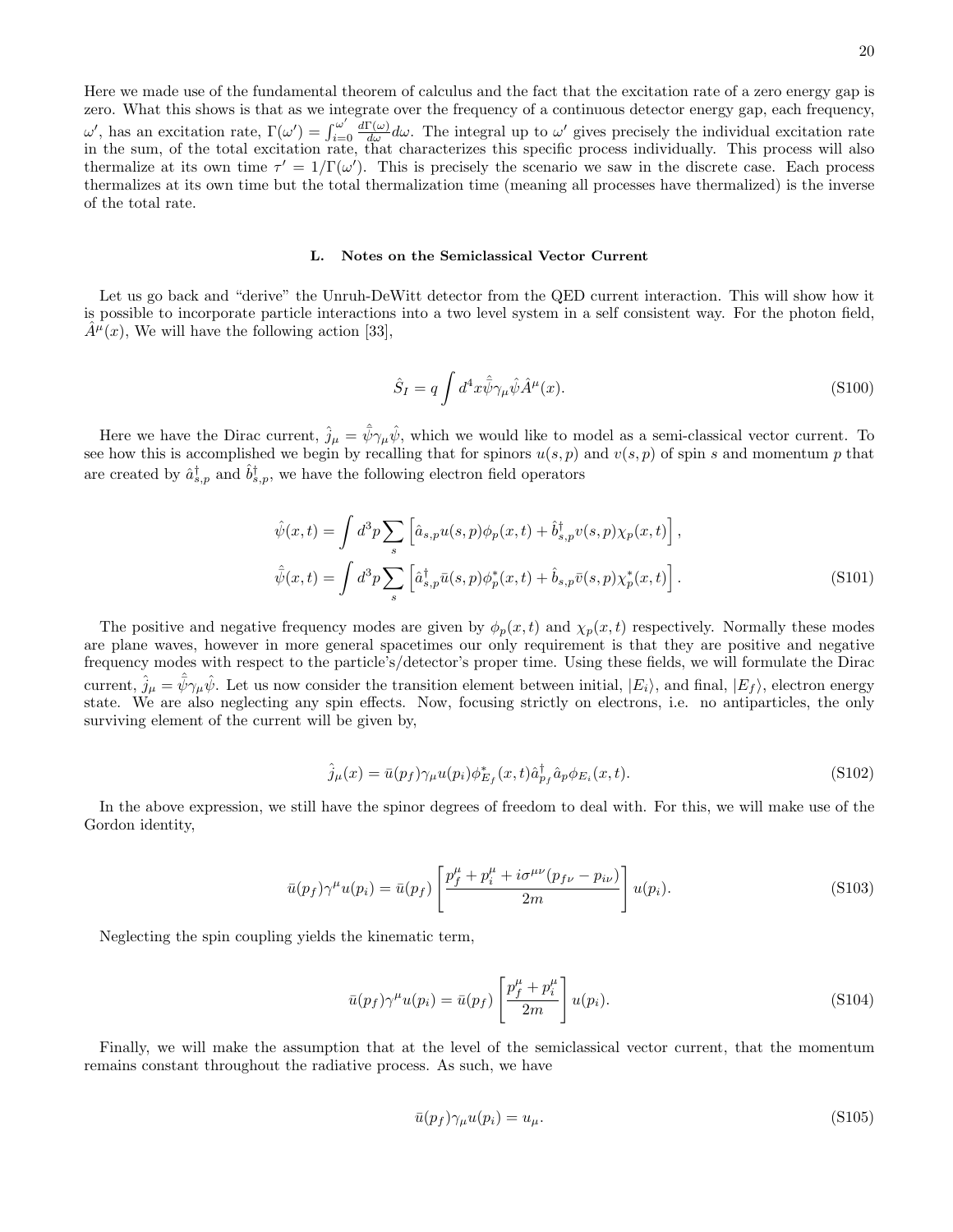Here we made use of the fundamental theorem of calculus and the fact that the excitation rate of a zero energy gap is zero. What this shows is that as we integrate over the frequency of a continuous detector energy gap, each frequency, ω', has an excitation rate, Γ(ω') =  $\int_{i=1}^{\omega'}$  $i=0$  $\frac{d\Gamma(\omega)}{d\omega}d\omega$ . The integral up to  $\omega'$  gives precisely the individual excitation rate in the sum, of the total excitation rate, that characterizes this specific process individually. This process will also thermalize at its own time  $\tau' = 1/\Gamma(\omega')$ . This is precisely the scenario we saw in the discrete case. Each process thermalizes at its own time but the total thermalization time (meaning all processes have thermalized) is the inverse of the total rate.

### L. Notes on the Semiclassical Vector Current

Let us go back and "derive" the Unruh-DeWitt detector from the QED current interaction. This will show how it is possible to incorporate particle interactions into a two level system in a self consistent way. For the photon field,  $\hat{A}^{\mu}(x)$ , We will have the following action [33],

$$
\hat{S}_I = q \int d^4x \hat{\bar{\psi}} \gamma_\mu \hat{\psi} \hat{A}^\mu(x). \tag{S100}
$$

Here we have the Dirac current,  $\hat{j}_{\mu} = \hat{\bar{\psi}} \gamma_{\mu} \hat{\psi}$ , which we would like to model as a semi-classical vector current. To see how this is accomplished we begin by recalling that for spinors  $u(s, p)$  and  $v(s, p)$  of spin s and momentum p that are created by  $\hat{a}_{s,p}^{\dagger}$  and  $\hat{b}_{s,p}^{\dagger}$ , we have the following electron field operators

$$
\hat{\psi}(x,t) = \int d^3p \sum_s \left[ \hat{a}_{s,p} u(s,p) \phi_p(x,t) + \hat{b}_{s,p}^{\dagger} v(s,p) \chi_p(x,t) \right],
$$
  

$$
\hat{\psi}(x,t) = \int d^3p \sum_s \left[ \hat{a}_{s,p}^{\dagger} \bar{u}(s,p) \phi_p^*(x,t) + \hat{b}_{s,p} \bar{v}(s,p) \chi_p^*(x,t) \right].
$$
\n(S101)

The positive and negative frequency modes are given by  $\phi_p(x,t)$  and  $\chi_p(x,t)$  respectively. Normally these modes are plane waves, however in more general spacetimes our only requirement is that they are positive and negative frequency modes with respect to the particle's/detector's proper time. Using these fields, we will formulate the Dirac current,  $\hat{j}_{\mu} = \hat{\bar{\psi}} \gamma_{\mu} \hat{\psi}$ . Let us now consider the transition element between initial,  $|E_i\rangle$ , and final,  $|E_f\rangle$ , electron energy state. We are also neglecting any spin effects. Now, focusing strictly on electrons, i.e. no antiparticles, the only surviving element of the current will be given by,

$$
\hat{j}_{\mu}(x) = \bar{u}(p_f)\gamma_{\mu}u(p_i)\phi_{E_f}^*(x,t)\hat{a}_{p_f}^\dagger\hat{a}_p\phi_{E_i}(x,t).
$$
\n(S102)

In the above expression, we still have the spinor degrees of freedom to deal with. For this, we will make use of the Gordon identity,

$$
\bar{u}(p_f)\gamma^{\mu}u(p_i) = \bar{u}(p_f)\left[\frac{p_f^{\mu} + p_i^{\mu} + i\sigma^{\mu\nu}(p_{f\nu} - p_{i\nu})}{2m}\right]u(p_i). \tag{S103}
$$

Neglecting the spin coupling yields the kinematic term,

$$
\bar{u}(p_f)\gamma^{\mu}u(p_i) = \bar{u}(p_f)\left[\frac{p_f^{\mu} + p_i^{\mu}}{2m}\right]u(p_i). \tag{S104}
$$

Finally, we will make the assumption that at the level of the semiclassical vector current, that the momentum remains constant throughout the radiative process. As such, we have

$$
\bar{u}(p_f)\gamma_\mu u(p_i) = u_\mu. \tag{S105}
$$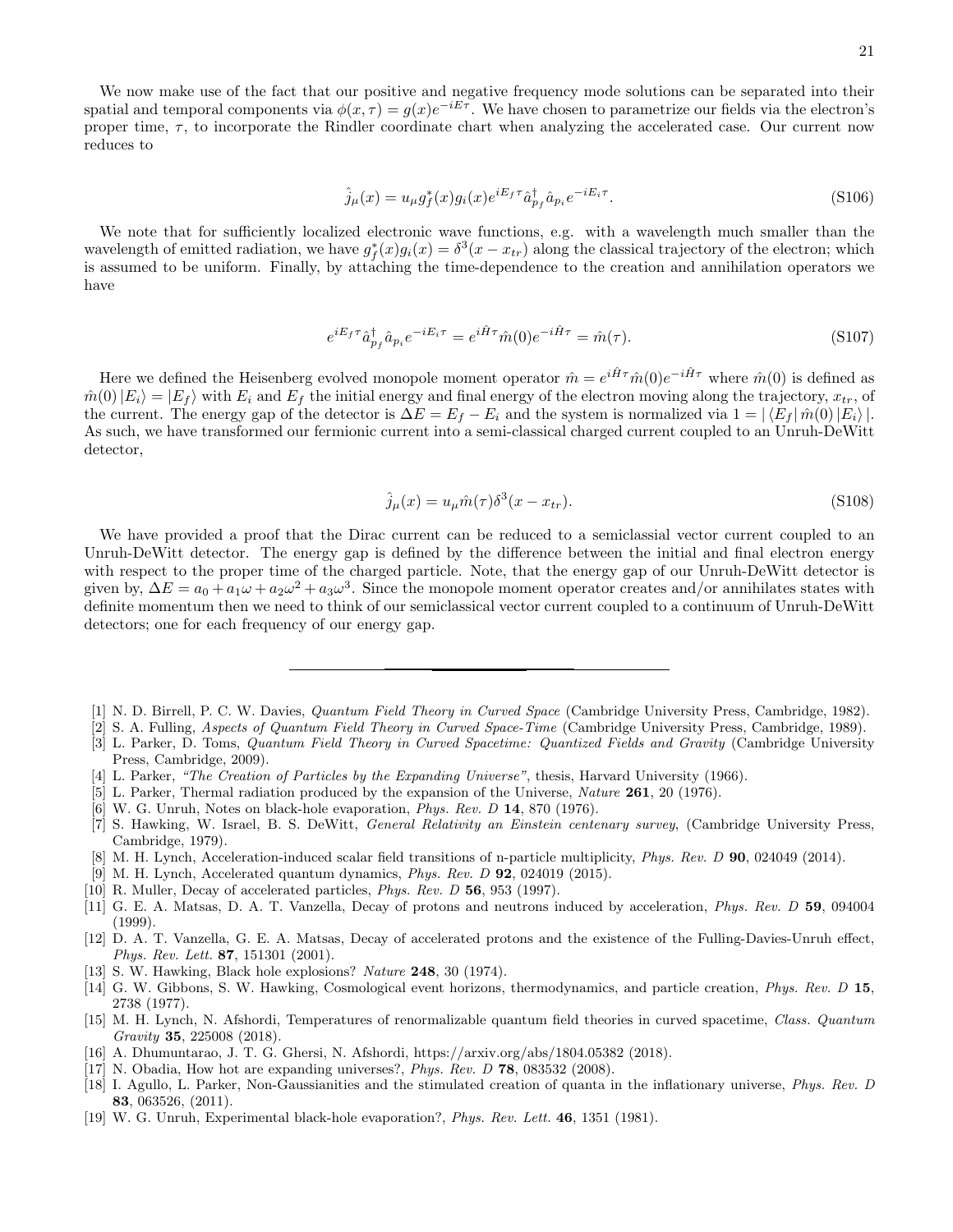$$
\hat{j}_{\mu}(x) = u_{\mu}g_{f}^{*}(x)g_{i}(x)e^{iE_{f}\tau}\hat{a}_{p_{f}}^{\dagger}\hat{a}_{p_{i}}e^{-iE_{i}\tau}.
$$
\n(S106)

We note that for sufficiently localized electronic wave functions, e.g. with a wavelength much smaller than the wavelength of emitted radiation, we have  $g_f^*(x)g_i(x) = \delta^3(x - x_{tr})$  along the classical trajectory of the electron; which is assumed to be uniform. Finally, by attaching the time-dependence to the creation and annihilation operators we have

$$
e^{iE_f \tau} \hat{a}^{\dagger}_{p_f} \hat{a}_{p_i} e^{-iE_i \tau} = e^{i\hat{H}\tau} \hat{m}(0) e^{-i\hat{H}\tau} = \hat{m}(\tau). \tag{S107}
$$

Here we defined the Heisenberg evolved monopole moment operator  $\hat{m} = e^{i\hat{H}\tau}\hat{m}(0)e^{-i\hat{H}\tau}$  where  $\hat{m}(0)$  is defined as  $\hat{m}(0)|E_i\rangle = |E_f\rangle$  with  $E_i$  and  $E_f$  the initial energy and final energy of the electron moving along the trajectory,  $x_{tr}$ , of the current. The energy gap of the detector is  $\Delta E = E_f - E_i$  and the system is normalized via  $1 = |\langle E_f | \hat{m}(0) | E_i \rangle|$ . As such, we have transformed our fermionic current into a semi-classical charged current coupled to an Unruh-DeWitt detector,

$$
\hat{j}_{\mu}(x) = u_{\mu}\hat{m}(\tau)\delta^3(x - x_{tr}).
$$
\n(S108)

We have provided a proof that the Dirac current can be reduced to a semiclassial vector current coupled to an Unruh-DeWitt detector. The energy gap is defined by the difference between the initial and final electron energy with respect to the proper time of the charged particle. Note, that the energy gap of our Unruh-DeWitt detector is given by,  $\Delta E = a_0 + a_1 \omega + a_2 \omega^2 + a_3 \omega^3$ . Since the monopole moment operator creates and/or annihilates states with definite momentum then we need to think of our semiclassical vector current coupled to a continuum of Unruh-DeWitt detectors; one for each frequency of our energy gap.

- [1] N. D. Birrell, P. C. W. Davies, Quantum Field Theory in Curved Space (Cambridge University Press, Cambridge, 1982).
- [2] S. A. Fulling, Aspects of Quantum Field Theory in Curved Space-Time (Cambridge University Press, Cambridge, 1989).
- [3] L. Parker, D. Toms, Quantum Field Theory in Curved Spacetime: Quantized Fields and Gravity (Cambridge University Press, Cambridge, 2009).
- [4] L. Parker, "The Creation of Particles by the Expanding Universe", thesis, Harvard University (1966).
- [5] L. Parker, Thermal radiation produced by the expansion of the Universe, Nature 261, 20 (1976).
- [6] W. G. Unruh, Notes on black-hole evaporation, Phys. Rev. D 14, 870 (1976).
- [7] S. Hawking, W. Israel, B. S. DeWitt, General Relativity an Einstein centenary survey, (Cambridge University Press, Cambridge, 1979).
- [8] M. H. Lynch, Acceleration-induced scalar field transitions of n-particle multiplicity, *Phys. Rev. D* **90**, 024049 (2014).
- [9] M. H. Lynch, Accelerated quantum dynamics, Phys. Rev. D 92, 024019 (2015).
- [10] R. Muller, Decay of accelerated particles, *Phys. Rev. D* 56, 953 (1997).
- [11] G. E. A. Matsas, D. A. T. Vanzella, Decay of protons and neutrons induced by acceleration, *Phys. Rev. D* 59, 094004 (1999).
- [12] D. A. T. Vanzella, G. E. A. Matsas, Decay of accelerated protons and the existence of the Fulling-Davies-Unruh effect, Phys. Rev. Lett. 87, 151301 (2001).
- [13] S. W. Hawking, Black hole explosions? Nature 248, 30 (1974).
- [14] G. W. Gibbons, S. W. Hawking, Cosmological event horizons, thermodynamics, and particle creation, *Phys. Rev. D* 15, 2738 (1977).
- [15] M. H. Lynch, N. Afshordi, Temperatures of renormalizable quantum field theories in curved spacetime, Class. Quantum Gravity 35, 225008 (2018).
- [16] A. Dhumuntarao, J. T. G. Ghersi, N. Afshordi, https://arxiv.org/abs/1804.05382 (2018).
- [17] N. Obadia, How hot are expanding universes?, Phys. Rev. D 78, 083532 (2008).
- [18] I. Agullo, L. Parker, Non-Gaussianities and the stimulated creation of quanta in the inflationary universe, Phys. Rev. D 83, 063526, (2011).
- [19] W. G. Unruh, Experimental black-hole evaporation?, Phys. Rev. Lett. 46, 1351 (1981).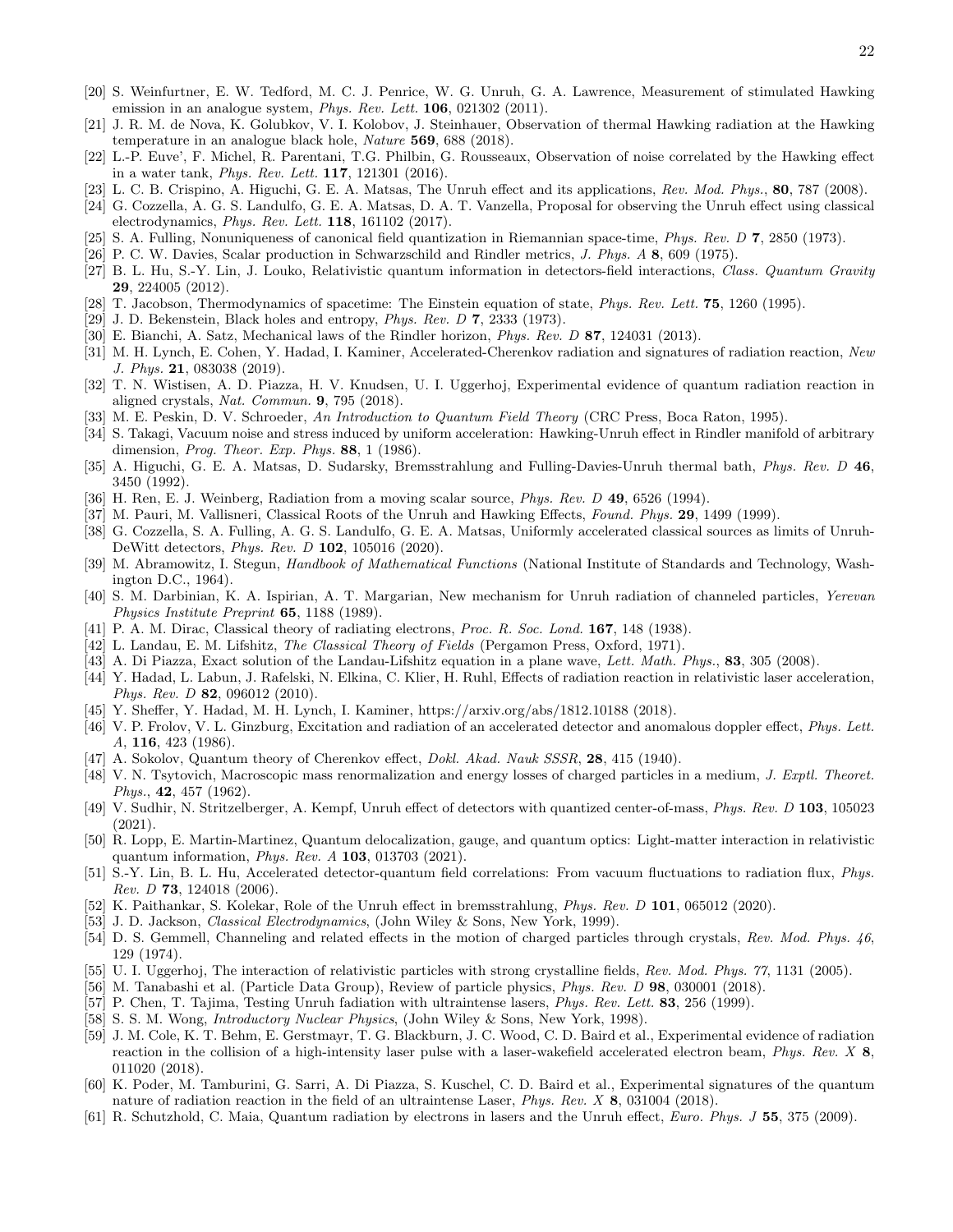- [20] S. Weinfurtner, E. W. Tedford, M. C. J. Penrice, W. G. Unruh, G. A. Lawrence, Measurement of stimulated Hawking emission in an analogue system, *Phys. Rev. Lett.* **106**, 021302 (2011).
- [21] J. R. M. de Nova, K. Golubkov, V. I. Kolobov, J. Steinhauer, Observation of thermal Hawking radiation at the Hawking temperature in an analogue black hole, Nature 569, 688 (2018).
- [22] L.-P. Euve', F. Michel, R. Parentani, T.G. Philbin, G. Rousseaux, Observation of noise correlated by the Hawking effect in a water tank, Phys. Rev. Lett. 117, 121301 (2016).
- [23] L. C. B. Crispino, A. Higuchi, G. E. A. Matsas, The Unruh effect and its applications, Rev. Mod. Phys., 80, 787 (2008).
- [24] G. Cozzella, A. G. S. Landulfo, G. E. A. Matsas, D. A. T. Vanzella, Proposal for observing the Unruh effect using classical electrodynamics, Phys. Rev. Lett. 118, 161102 (2017).
- [25] S. A. Fulling, Nonuniqueness of canonical field quantization in Riemannian space-time, Phys. Rev. D 7, 2850 (1973).
- [26] P. C. W. Davies, Scalar production in Schwarzschild and Rindler metrics, J. Phys. A 8, 609 (1975).
- [27] B. L. Hu, S.-Y. Lin, J. Louko, Relativistic quantum information in detectors-field interactions, Class. Quantum Gravity 29, 224005 (2012).
- [28] T. Jacobson, Thermodynamics of spacetime: The Einstein equation of state, *Phys. Rev. Lett.* **75**, 1260 (1995).
- [29] J. D. Bekenstein, Black holes and entropy, *Phys. Rev. D*  $7$ , 2333 (1973).
- [30] E. Bianchi, A. Satz, Mechanical laws of the Rindler horizon, Phys. Rev. D 87, 124031 (2013).
- [31] M. H. Lynch, E. Cohen, Y. Hadad, I. Kaminer, Accelerated-Cherenkov radiation and signatures of radiation reaction, New J. Phys. 21, 083038 (2019).
- [32] T. N. Wistisen, A. D. Piazza, H. V. Knudsen, U. I. Uggerhoj, Experimental evidence of quantum radiation reaction in aligned crystals, Nat. Commun. 9, 795 (2018).
- [33] M. E. Peskin, D. V. Schroeder, An Introduction to Quantum Field Theory (CRC Press, Boca Raton, 1995).
- [34] S. Takagi, Vacuum noise and stress induced by uniform acceleration: Hawking-Unruh effect in Rindler manifold of arbitrary dimension, Prog. Theor. Exp. Phys. 88, 1 (1986).
- [35] A. Higuchi, G. E. A. Matsas, D. Sudarsky, Bremsstrahlung and Fulling-Davies-Unruh thermal bath, Phys. Rev. D 46, 3450 (1992).
- [36] H. Ren, E. J. Weinberg, Radiation from a moving scalar source, *Phys. Rev. D* 49, 6526 (1994).
- [37] M. Pauri, M. Vallisneri, Classical Roots of the Unruh and Hawking Effects, Found. Phys. 29, 1499 (1999).
- [38] G. Cozzella, S. A. Fulling, A. G. S. Landulfo, G. E. A. Matsas, Uniformly accelerated classical sources as limits of Unruh-DeWitt detectors, Phys. Rev. D 102, 105016 (2020).
- [39] M. Abramowitz, I. Stegun, Handbook of Mathematical Functions (National Institute of Standards and Technology, Washington D.C., 1964).
- [40] S. M. Darbinian, K. A. Ispirian, A. T. Margarian, New mechanism for Unruh radiation of channeled particles, Yerevan Physics Institute Preprint 65, 1188 (1989).
- [41] P. A. M. Dirac, Classical theory of radiating electrons, *Proc. R. Soc. Lond.* **167**, 148 (1938).
- [42] L. Landau, E. M. Lifshitz, The Classical Theory of Fields (Pergamon Press, Oxford, 1971).
- [43] A. Di Piazza, Exact solution of the Landau-Lifshitz equation in a plane wave, Lett. Math. Phys., 83, 305 (2008).
- [44] Y. Hadad, L. Labun, J. Rafelski, N. Elkina, C. Klier, H. Ruhl, Effects of radiation reaction in relativistic laser acceleration, Phys. Rev. D **82**, 096012 (2010).
- [45] Y. Sheffer, Y. Hadad, M. H. Lynch, I. Kaminer, https://arxiv.org/abs/1812.10188 (2018).
- [46] V. P. Frolov, V. L. Ginzburg, Excitation and radiation of an accelerated detector and anomalous doppler effect, Phys. Lett. A, 116, 423 (1986).
- [47] A. Sokolov, Quantum theory of Cherenkov effect, Dokl. Akad. Nauk SSSR, 28, 415 (1940).
- [48] V. N. Tsytovich, Macroscopic mass renormalization and energy losses of charged particles in a medium, J. Exptl. Theoret. Phys., 42, 457 (1962).
- [49] V. Sudhir, N. Stritzelberger, A. Kempf, Unruh effect of detectors with quantized center-of-mass, Phys. Rev. D 103, 105023 (2021).
- [50] R. Lopp, E. Martin-Martinez, Quantum delocalization, gauge, and quantum optics: Light-matter interaction in relativistic quantum information, Phys. Rev. A 103, 013703 (2021).
- [51] S.-Y. Lin, B. L. Hu, Accelerated detector-quantum field correlations: From vacuum fluctuations to radiation flux, Phys. *Rev. D* **73**, 124018 (2006).
- [52] K. Paithankar, S. Kolekar, Role of the Unruh effect in bremsstrahlung, Phys. Rev. D 101, 065012 (2020).
- [53] J. D. Jackson, *Classical Electrodynamics*, (John Wiley & Sons, New York, 1999).
- [54] D. S. Gemmell, Channeling and related effects in the motion of charged particles through crystals, Rev. Mod. Phys. 46, 129 (1974).
- [55] U. I. Uggerhoj, The interaction of relativistic particles with strong crystalline fields, Rev. Mod. Phys. 77, 1131 (2005).
- [56] M. Tanabashi et al. (Particle Data Group), Review of particle physics, Phys. Rev. D 98, 030001 (2018).
- [57] P. Chen, T. Tajima, Testing Unruh fadiation with ultraintense lasers, Phys. Rev. Lett. 83, 256 (1999).
- [58] S. S. M. Wong, *Introductory Nuclear Physics*, (John Wiley & Sons, New York, 1998).
- [59] J. M. Cole, K. T. Behm, E. Gerstmayr, T. G. Blackburn, J. C. Wood, C. D. Baird et al., Experimental evidence of radiation reaction in the collision of a high-intensity laser pulse with a laser-wakefield accelerated electron beam, Phys. Rev. X 8, 011020 (2018).
- [60] K. Poder, M. Tamburini, G. Sarri, A. Di Piazza, S. Kuschel, C. D. Baird et al., Experimental signatures of the quantum nature of radiation reaction in the field of an ultraintense Laser, *Phys. Rev. X* 8, 031004 (2018).
- [61] R. Schutzhold, C. Maia, Quantum radiation by electrons in lasers and the Unruh effect, Euro. Phys. J 55, 375 (2009).